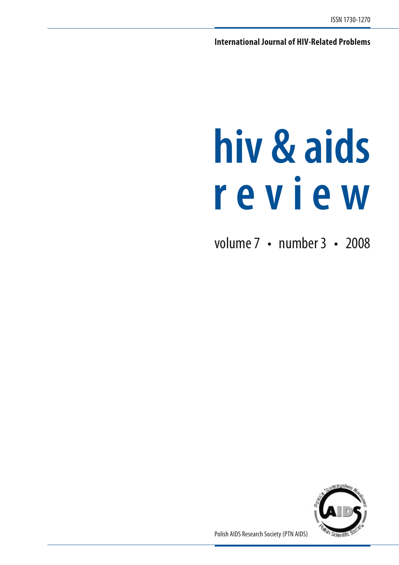**International Journal of HIV-Related Problems**

# **hiv & aids r e v i e w**

volume 7 • number 3 • 2008



Polish AIDS Research Society (PTN AIDS)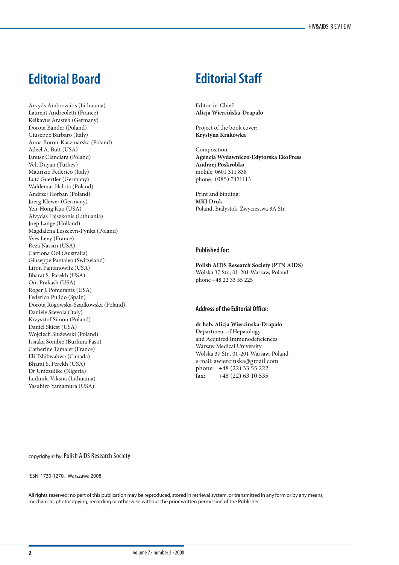# **Editorial Board Editorial Staff**

Arvyds Ambrozaitis (Lithuania) Laurent Andreoletti (France) Keikavus Arasteh (Germany) Dorota Bander (Poland) Giuseppe Barbaro (Italy) Anna Boroń-Kaczmarska (Poland) Adeel A. Butt (USA) Janusz Cianciara (Poland) Veli Duyan (Turkey) Maurizio Federico (Italy) Lutz Guertler (Germany) Waldemar Halota (Poland) Andrzej Horban (Poland) Joerg Klewer (Germany) Yen-Hong Kuo (USA) Alvydas Lajszkonis (Lithuania) Joep Lange (Holland) Magdalena Leszczyn-Pynka (Poland) Yves Levy (France) Reza Nassiri (USA) Catriona Ooi (Australia) Giuseppe Pantaleo (Switzeland) Liron Pantanowitz (USA) Bharat S. Parekh (USA) Om Prakash (USA) Roger J. Pomerantz (USA) Federico Pulido (Spain) Dorota Rogowska-Szadkowska (Poland) Daniele Scevola (Italy) Krzysztof Simon (Poland) Daniel Skiest (USA) Wojciech Służewski (Poland) Issiaka Sombie (Burkina Faso) Catherine Tamalet (France) Eli Tshibwabwa (Canada) Bharat S. Perekh (USA) Dr Umezulike (Nigeria) Ludmila Viksna (Lithuania) Yasuhiro Yamamura (USA)

Editor-in-Chief: **Alicja Wiercińska-Drapało**

Project of the book cover: **Krystyna Krakówka**

Composition: **Agencja Wydawniczo-Edytorska EkoPress Andrzej Poskrobko** mobile: 0601 311 838 phone: (085) 7421113

Print and binding: **MKJ Druk** Poland, Białystok, Zwyciestwa 3A Str.

#### **Published for:**

**Polish AIDS Research Society (PTN AIDS)** Wolska 37 Str., 01-201 Warsaw, Poland phone +48 22 33 55 225

#### **Address of the Editorial Office:**

**dr hab. Alicja Wiercinska-Drapalo** Department of Hepatology and Acquired Immunodeficiences Warsaw Medical University Wolska 37 Str., 01-201 Warsaw, Poland e-mail: awiercinska@gmail.com phone: +48 (22) 33 55 222 fax:  $+48(22)6310535$ 

copyrighy © by: Polish AIDS Research Society

#### ISSN: 1730-1270, Warszawa 2008

All rights reserved; no part of this publication may be reproduced, stored in retrieval system, or transmitted in any form or by any means, mechanical, photocopying, recording or otherwise without the prior written permission of the Publisher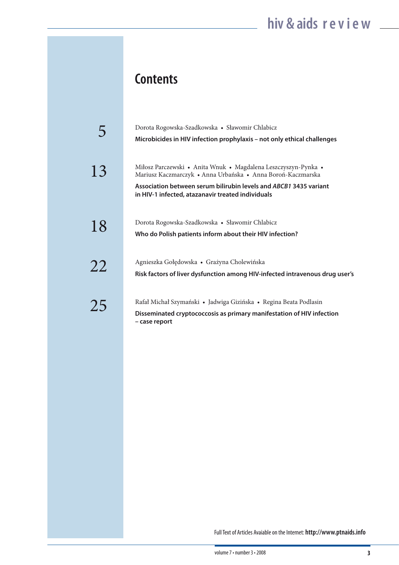# **Contents**

|    | Dorota Rogowska-Szadkowska · Sławomir Chlabicz<br>Microbicides in HIV infection prophylaxis - not only ethical challenges                                                                                                                               |
|----|---------------------------------------------------------------------------------------------------------------------------------------------------------------------------------------------------------------------------------------------------------|
| 13 | Miłosz Parczewski • Anita Wnuk • Magdalena Leszczyszyn-Pynka •<br>Mariusz Kaczmarczyk • Anna Urbańska • Anna Boroń-Kaczmarska<br>Association between serum bilirubin levels and ABCB1 3435 variant<br>in HIV-1 infected, atazanavir treated individuals |
| 18 | Dorota Rogowska-Szadkowska • Sławomir Chlabicz<br>Who do Polish patients inform about their HIV infection?                                                                                                                                              |
| 22 | Agnieszka Gołędowska • Grażyna Cholewińska<br>Risk factors of liver dysfunction among HIV-infected intravenous drug user's                                                                                                                              |
| 25 | Rafał Michał Szymański • Jadwiga Gizińska • Regina Beata Podlasin<br>Disseminated cryptococcosis as primary manifestation of HIV infection<br>– case report                                                                                             |

Full Text of Articles Avaiable on the Internet: **http://www.ptnaids.info**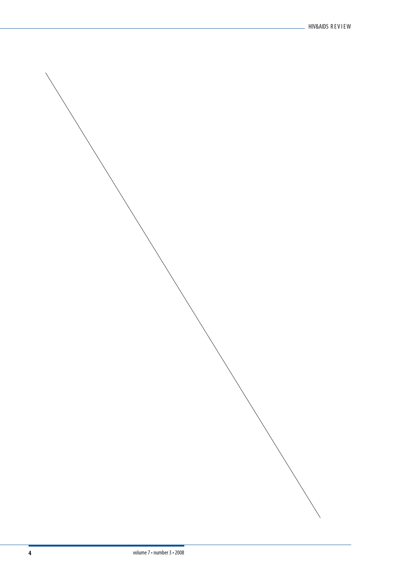volume 7 • number 3 • 2008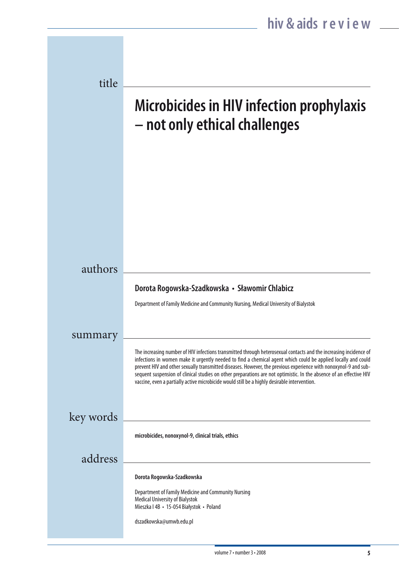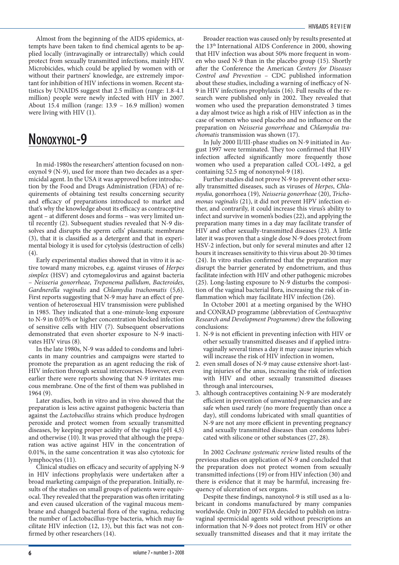Almost from the beginning of the AIDS epidemics, attempts have been taken to find chemical agents to be applied locally (intravaginally or intrarectally) which could protect from sexually transmitted infections, mainly HIV. Microbicides, which could be applied by women with or without their partners' knowledge, are extremely important for inhibition of HIV infections in women. Recent statistics by UNAIDS suggest that 2.5 million (range: 1.8-4.1 million) people were newly infected with HIV in 2007. About 15.4 million (range: 13.9 – 16.9 million) women were living with HIV (1).

## **Nonoxynol-9**

In mid-1980s the researchers' attention focused on nonoxynol 9 (N-9), used for more than two decades as a spermicidal agent. In the USA it was approved before introduction by the Food and Drugs Administration (FDA) of requirements of obtaining test results concerning security and efficacy of preparations introduced to market and that's why the knowledge about its efficacy as contraceptive agent – at different doses and forms – was very limited until recently (2). Subsequent studies revealed that N-9 dissolves and disrupts the sperm cells' plasmatic membrane (3), that it is classified as a detergent and that in experimental biology it is used for cytolysis (destruction of cells) (4)*.*

Early experimental studies showed that in vitro it is active toward many microbes, e.g. against viruses of *Herpes simplex* (HSV) and cytomegalovirus and against bacteria – *Neisseria gonorrheae*, *Treponema pallidum*, *Bacteroides*, *Gardnerella vaginalis* and *Chlamydia trachomatis* (5,6). First reports suggesting that N-9 may have an effect of prevention of heterosexual HIV transmission were published in 1985. They indicated that a one-minute-long exposure to N-9 in 0.05% or higher concentration blocked infection of sensitive cells with HIV (7). Subsequent observations demonstrated that even shorter exposure to N-9 inactivates HIV virus (8).

In the late 1980s, N-9 was added to condoms and lubricants in many countries and campaigns were started to promote the preparation as an agent reducing the risk of HIV infection through sexual intercourses. However, even earlier there were reports showing that N-9 irritates mucous membrane. One of the first of them was published in 1964 (9).

Later studies, both in vitro and in vivo showed that the preparation is less active against pathogenic bacteria than against the *Lactobacillus* strains which produce hydrogen peroxide and protect women from sexually transmitted diseases, by keeping proper acidity of the vagina (pH 4,5) and otherwise (10). It was proved that although the preparation was active against HIV in the concentration of 0.01%, in the same concentration it was also cytotoxic for lymphocytes (11).

Clinical studies on efficacy and security of applying N-9 in HIV infections prophylaxis were undertaken after a broad marketing campaign of the preparation. Initially, results of the studies on small groups of patients were equivocal. They revealed that the preparation was often irritating and even caused ulceration of the vaginal mucous membrane and changed bacterial flora of the vagina, reducing the number of Lactobacillus-type bacteria, which may facilitate HIV infection (12, 13), but this fact was not confirmed by other researchers (14).

Broader reaction was caused only by results presented at the 13th International AIDS Conference in 2000, showing that HIV infection was about 50% more frequent in women who used N-9 than in the placebo group (15). Shortly after the Conference the American *Centers for Diseases Control and Prevention* – CDC published information about these studies, including a warning of inefficacy of N-9 in HIV infections prophylaxis (16). Full results of the research were published only in 2002. They revealed that women who used the preparation demonstrated 3 times a day almost twice as high a risk of HIV infection as in the case of women who used placebo and no influence on the preparation on *Neisseria gonorrheae* and *Chlamydia trachomatis* transmission was shown (17).

In July 2000 II/III-phase studies on N-9 initiated in August 1997 were terminated. They too confirmed that HIV infection affected significantly more frequently those women who used a preparation called COL-1492, a gel containing 52.5 mg of nonoxynol-9 (18).

Further studies did not prove N-9 to prevent other sexually transmitted diseases, such as viruses of *Herpes*, *Chlamydia,* gonorrhoea (19)*, Neisseria gonorrheae* (20), *Trichomonas vaginalis* (21), it did not prevent HPV infection either, and contrarily, it could increase this virus's ability to infect and survive in women's bodies (22), and applying the preparation many times in a day may facilitate transfer of HIV and other sexually-transmitted diseases (23)*.* A little later it was proven that a single dose N-9 does protect from HSV-2 infection, but only for several minutes and after 12 hours it increases sensitivity to this virus about 20-30 times (24). In vitro studies confirmed that the preparation may disrupt the barrier generated by endometrium, and thus facilitate infection with HIV and other pathogenic microbes (25). Long-lasting exposure to N-9 disturbs the composition of the vaginal bacterial flora, increasing the risk of inflammation which may facilitate HIV infection (26).

In October 2001 at a meeting organised by the WHO and CONRAD programme (abbreviation of *Contraceptive Research and Development Programme*) drew the following conclusions:

- 1. N-9 is not efficient in preventing infection with HIV or other sexually transmitted diseases and if applied intravaginally several times a day it may cause injuries which will increase the risk of HIV infection in women,
- 2. even small doses of N-9 may cause extensive short-lasting injuries of the anus, increasing the risk of infection with HIV and other sexually transmitted diseases through anal intercourses,
- 3. although contraceptives containing N-9 are moderately efficient in prevention of unwanted pregnancies and are safe when used rarely (no more frequently than once a day), still condoms lubricated with small quantities of N-9 are not any more efficient in preventing pregnancy and sexually transmitted diseases than condoms lubricated with silicone or other substances (27, 28).

In 2002 *Cochrane systematic review* listed results of the previous studies on application of N-9 and concluded that the preparation does not protect women from sexually transmitted infections (19) or from HIV infection (30) and there is evidence that it may be harmful, increasing frequency of ulceration of sex organs.

Despite these findings, nanoxynol-9 is still used as a lubricant in condoms manufactured by many companies worldwide. Only in 2007 FDA decided to publish on intravaginal spermicidal agents sold without prescriptions an information that N-9 does not protect from HIV or other sexually transmitted diseases and that it may irritate the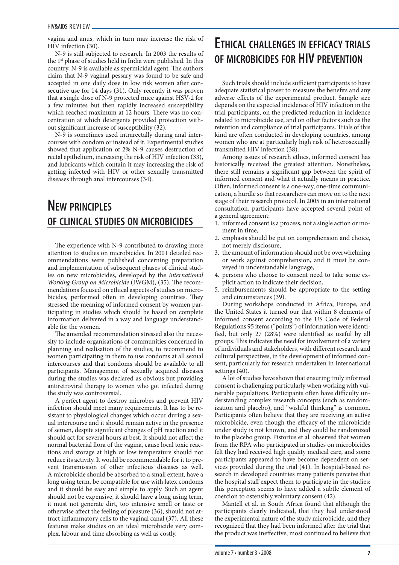vagina and anus, which in turn may increase the risk of HIV infection (30).

N-9 is still subjected to research. In 2003 the results of the 1st phase of studies held in India were published. In this country, N-9 is available as spermicidal agent. The authors claim that N-9 vaginal pessary was found to be safe and accepted in one daily dose in low risk women after consecutive use for 14 days (31). Only recently it was proven that a single dose of N-9 protected mice against HSV-2 for a few minutes but then rapidly increased susceptibility which reached maximum at 12 hours. There was no concentration at which detergents provided protection without significant increase of susceptibility (32).

N-9 is sometimes used intrarectally during anal intercourses with condom or instead of it. Experimental studies showed that application of 2% N-9 causes destruction of rectal epithelium, increasing the risk of HIV infection (33), and lubricants which contain it may increasing the risk of getting infected with HIV or other sexually transmitted diseases through anal intercourses (34)*.*

# **New principles of clinical studies on microbicides**

The experience with N-9 contributed to drawing more attention to studies on microbicides. In 2001 detailed recommendations were published concerning preparation and implementation of subsequent phases of clinical studies on new microbicides, developed by the *International Working Group on Microbicide* (IWGM), (35). The recommendations focused on ethical aspects of studies on microbicides, performed often in developing countries. They stressed the meaning of informed consent by women participating in studies which should be based on complete information delivered in a way and language understandable for the women.

The amended recommendation stressed also the necessity to include organisations of communities concerned in planning and realisation of the studies, to recommend to women participating in them to use condoms at all sexual intercourses and that condoms should be available to all participants. Management of sexually acquired diseases during the studies was declared as obvious but providing antiretroviral therapy to women who got infected during the study was controversial.

A perfect agent to destroy microbes and prevent HIV infection should meet many requirements. It has to be resistant to physiological changes which occur during a sexual intercourse and it should remain active in the presence of semen, despite significant changes of pH reaction and it should act for several hours at best. It should not affect the normal bacterial flora of the vagina, cause local toxic reactions and storage at high or low temperature should not reduce its activity. It would be recommendable for it to prevent transmission of other infectious diseases as well. A microbicide should be absorbed to a small extent, have a long using term, be compatible for use with latex condoms and it should be easy and simple to apply. Such an agent should not be expensive, it should have a long using term, it must not generate dirt, too intensive smell or taste or otherwise affect the feeling of pleasure (36), should not attract inflammatory cells to the vaginal canal (37). All these features make studies on an ideal microbicide very complex, labour and time absorbing as well as costly.

# **Ethical challenges in efficacy trials of microbicides for HIV prevention**

Such trials should include sufficient participants to have adequate statistical power to measure the benefits and any adverse effects of the experimental product. Sample size depends on the expected incidence of HIV infection in the trial participants, on the predicted reduction in incidence related to microbicide use, and on other factors such as the retention and compliance of trial participants. Trials of this kind are often conducted in developing countries, among women who are at particularly high risk of heterosexually transmitted HIV infection (38).

Among issues of research ethics, informed consent has historically received the greatest attention. Nonetheless, there still remains a significant gap between the spirit of informed consent and what it actually means in practice. Often, informed consent is a one-way, one-time communication, a hurdle so that researchers can move on to the next stage of their research protocol. In 2005 in an international consultation, participants have accepted several point of a general agreement:

- 1. informed consent is a process, not a single action or moment in time,
- 2. emphasis should be put on comprehension and choice, not merely disclosure,
- 3. the amount of information should not be overwhelming or work against comprehension, and it must be conveyed in understandable language,
- 4. persons who choose to consent need to take some explicit action to indicate their decision,
- 5. reimbursements should be appropriate to the setting and circumstances (39).

During workshops conducted in Africa, Europe, and the United States it turned our that within 8 elements of informed consent according to the US Code of Federal Regulations 95 items ("points") of information were identified, but only 27 (28%) were identified as useful by all groups. This indicates the need for involvement of a variety of individuals and stakeholders, with different research and cultural perspectives, in the development of informed consent, particularly for research undertaken in international settings (40).

A lot of studies have shown that ensuring truly informed consent is challenging particularly when working with vulnerable populations. Participants often have difficulty understanding complex research concepts (such as randomization and placebo), and "wishful thinking" is common. Participants often believe that they are receiving an active microbicide, even though the efficacy of the microbicide under study is not known, and they could be randomized to the placebo group. Pistorius et al. observed that women from the RPA who participated in studies on microbicides felt they had received high quality medical care, and some participants appeared to have become dependent on services provided during the trial (41). In hospital-based research in developed countries many patients perceive that the hospital staff expect them to participate in the studies: this perception seems to have added a subtle element of coercion to ostensibly voluntary consent (42).

Mantell et al. in South Africa found that although the participants clearly indicated, that they had understood the experimental nature of the study microbicide, and they recognized that they had been informed after the trial that the product was ineffective, most continued to believe that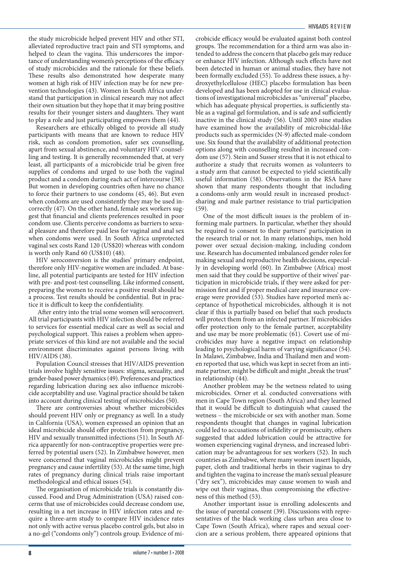the study microbicide helped prevent HIV and other STI, alleviated reproductive tract pain and STI symptoms, and helped to clean the vagina. This underscores the importance of understanding women's perceptions of the efficacy of study microbicides and the rationale for these beliefs. These results also demonstrated how desperate many women at high risk of HIV infection may be for new prevention technologies (43). Women in South Africa understand that participation in clinical research may not affect their own situation but they hope that it may bring positive results for their younger sisters and daughters. They want to play a role and just participating empowers them (44).

Researchers are ethically obliged to provide all study participants with means that are known to reduce HIV risk, such as condom promotion, safer sex counselling, apart from sexual abstinence, and voluntary HIV counselling and testing. It is generally recommended that, at very least, all participants of a microbicide trial be given free supplies of condoms and urged to use both the vaginal product and a condom during each act of intercourse (38). But women in developing countries often have no chance to force their partners to use condoms (45, 46). But even when condoms are used consistently they may be used incorrectly (47). On the other hand, female sex workers suggest that financial and clients preferences resulted in poor condom use. Clients perceive condoms as barriers to sexual pleasure and therefore paid less for vaginal and anal sex when condoms were used. In South Africa unprotected vaginal sex costs Rand 120 (US\$20) whereas with condom is worth only Rand 60 (US\$10) (48).

HIV seroconversion is the studies' primary endpoint, therefore only HIV-negative women are included. At baseline, all potential participants are tested for HIV infection with pre- and post-test counselling. Like informed consent, preparing the women to receive a positive result should be a process. Test results should be confidential. But in practice it is difficult to keep the confidentiality.

 After entry into the trial some women will seroconvert. All trial participants with HIV infection should be referred to services for essential medical care as well as social and psychological support. This raises a problem when appropriate services of this kind are not available and the social environment discriminates against persons living with HIV/AIDS (38).

Population Council stresses that HIV/AIDS prevention trials involve highly sensitive issues: stigma, sexuality, and gender-based power dynamics (49). Preferences and practices regarding lubrication during sex also influence microbicide acceptability and use. Vaginal practice should be taken into account during clinical testing of microbicides (50).

There are controversies about whether microbicides should prevent HIV only or pregnancy as well. In a study in California (USA), women expressed an opinion that an ideal microbicide should offer protection from pregnancy, HIV and sexually transmitted infections (51). In South Africa apparently for non-contraceptive properties were preferred by potential users (52). In Zimbabwe however, men were concerned that vaginal microbicides might prevent pregnancy and cause infertility (53). At the same time, high rates of pregnancy during clinical trials raise important methodological and ethical issues (54).

The organisation of microbicide trials is constantly discussed. Food and Drug Administration (USA) raised concerns that use of microbicides could decrease condom use, resulting in a net increase in HIV infection rates and require a three-arm study to compare HIV incidence rates not only with active versus placebo control gels, but also in a no-gel ("condoms only") controls group. Evidence of microbicide efficacy would be evaluated against both control groups. The recommendation for a third arm was also intended to address the concern that placebo gels may reduce or enhance HIV infection. Although such effects have not been detected in human or animal studies, they have not been formally excluded (55). To address these issues, a hydroxyethylcellulose (HEC) placebo formulation has been developed and has been adopted for use in clinical evaluations of investigational microbicides as "universal" placebo, which has adequate physical properties, is sufficiently stable as a vaginal gel formulation, and is safe and sufficiently inactive in the clinical study (56). Until 2003 nine studies have examined how the availability of microbicidal-like products such as spermicides (N-9) affected male-condom use. Six found that the availability of additional protection options along with counselling resulted in increased condom use (57). Stein and Susser stress that it is not ethical to authorize a study that recruits women as volunteers to a study arm that cannot be expected to yield scientifically useful information (58). Observations in the RSA have shown that many respondents thought that including a condoms-only arm would result in increased productsharing and male partner resistance to trial participation (59).

One of the most difficult issues is the problem of informing male partners. In particular, whether they should be required to consent to their partners' participation in the research trial or not. In many relationships, men hold power over sexual decision-making, including condom use. Research has documented imbalanced gender roles for making sexual and reproductive health decisions, especially in developing world (60). In Zimbabwe (Africa) most men said that they could be supportive of their wives' participation in microbicide trials, if they were asked for permission first and if proper medical care and insurance coverage were provided (53). Studies have reported men's acceptance of hypothetical microbicides, although it is not clear if this is partially based on belief that such products will protect them from an infected partner. If microbicides offer protection only to the female partner, acceptability and use may be more problematic (61). Covert use of microbicides may have a negative impact on relationship leading to psychological harm of varying significance (54). In Malawi, Zimbabwe, India and Thailand men and women reported that use, which was kept in secret from an intimate partner, might be difficult and might "break the trust" in relationship (44).

Another problem may be the wetness related to using microbicides. Orner et al. conducted conversations with men in Cape Town region (South Africa) and they learned that it would be difficult to distinguish what caused the wetness – the microbicide or sex with another man. Some respondents thought that changes in vaginal lubrication could led to accusations of infidelity or promiscuity, others suggested that added lubrication could be attractive for women experiencing vaginal dryness, and increased lubrication may be advantageous for sex workers (52). In such countries as Zimbabwe, where many women insert liquids, paper, cloth and traditional herbs in their vaginas to dry and tighten the vagina to increase the man's sexual pleasure ("dry sex"), microbicides may cause women to wash and wipe out their vaginas, thus compromising the effectiveness of this method (53).

Another important issue is enrolling adolescents and the issue of parental consent (39). Discussions with representatives of the black working class urban area close to Cape Town (South Africa), where rapes and sexual coercion are a serious problem, there appeared opinions that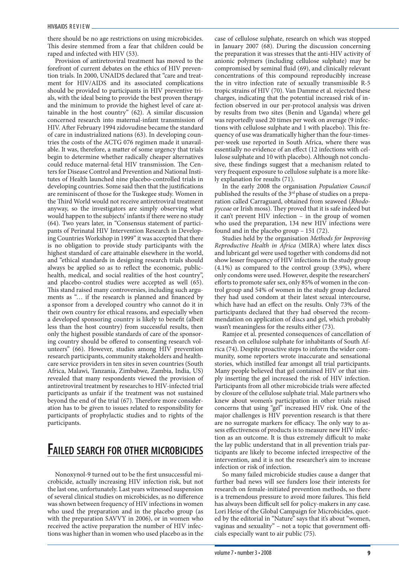there should be no age restrictions on using microbicides. This desire stemmed from a fear that children could be raped and infected with HIV (53).

Provision of antiretroviral treatment has moved to the forefront of current debates on the ethics of HIV prevention trials. In 2000, UNAIDS declared that "care and treatment for HIV/AIDS and its associated complications should be provided to participants in HIV preventive trials, with the ideal being to provide the best proven therapy and the minimum to provide the highest level of care attainable in the host country" (62). A similar discussion concerned research into maternal-infant transmission of HIV. After February 1994 zidovudine became the standard of care in industrialized nations (63). In developing countries the costs of the ACTG 076 regimen made it unavailable. It was, therefore, a matter of some urgency that trials begin to determine whether radically cheaper alternatives could reduce maternal-fetal HIV transmission. The Centers for Disease Control and Prevention and National Institutes of Health launched nine placebo-controlled trials in developing countries. Some said then that the justifications are reminiscent of those for the Tuskegee study. Women in the Third World would not receive antiretroviral treatment anyway, so the investigators are simply observing what would happen to the subjects' infants if there were no study (64). Two years later, in "Consensus statement of participants of Perinatal HIV Intervention Research in Developing Countries Workshop in 1999" it was accepted that there is no obligation to provide study participants with the highest standard of care attainable elsewhere in the world, and "ethical standards in designing research trials should always be applied so as to reflect the economic, publichealth, medical, and social realities of the host country", and placebo-control studies were accepted as well (65). This stand raised many controversies, including such arguments as "… if the research is planned and financed by a sponsor from a developed country who cannot do it in their own country for ethical reasons, and especially when a developed sponsoring country is likely to benefit (albeit less than the host country) from successful results, then only the highest possible standards of care of the sponsoring country should be offered to consenting research volunteers" (66). However, studies among HIV prevention research participants, community stakeholders and healthcare service providers in ten sites in seven countries (South Africa, Malawi, Tanzania, Zimbabwe, Zambia, India, US) revealed that many respondents viewed the provision of antiretroviral treatment by researches to HIV-infected trial participants as unfair if the treatment was not sustained beyond the end of the trial (67). Therefore more consideration has to be given to issues related to responsibility for participants of prophylactic studies and to rights of the participants.

# **Failed search for other microbicides**

Nonoxynol-9 turned out to be the first unsuccessful microbicide, actually increasing HIV infection risk, but not the last one, unfortunately. Last years witnessed suspension of several clinical studies on microbicides, as no difference was shown between frequency of HIV infections in women who used the preparation and in the placebo group (as with the preparation SAVVY in 2006), or in women who received the active preparation the number of HIV infections was higher than in women who used placebo as in the

case of cellulose sulphate, research on which was stopped in January 2007 (68). During the discussion concerning the preparation it was stresses that the anti-HIV activity of anionic polymers (including cellulose sulphate) may be compromised by seminal fluid (69), and clinically relevant concentrations of this compound reproducibly increase the in vitro infection rate of sexually transmissible R-5 tropic strains of HIV (70). Van Damme et al. rejected these charges, indicating that the potential increased risk of infection observed in our per-protocol analysis was driven by results from two sites (Benin and Uganda) where gel was reportedly used 20 times per week on average (9 infections with cellulose sulphate and 1 with placebo). This frequency of use was dramatically higher than the four-timesper-week use reported in South Africa, where there was essentially no evidence of an effect (12 infections with cellulose sulphate and 10 with placebo). Although not conclusive, these findings suggest that a mechanism related to very frequent exposure to cellulose sulphate is a more likely explanation for results (71).

In the early 2008 the organisation *Population Council* published the results of the  $3^{rd}$  phase of studies on a preparation called Carraguard, obtained from seaweed (*Rhodopyceae* or Irish moss). They proved that it is safe indeed but it can't prevent HIV infection – in the group of women who used the preparation, 134 new HIV infections were found and in the placebo group – 151 (72).

Studies held by the organisation *Methods for Improving Reproductive Health in Africa* (MIRA) where latex discs and lubricant gel were used together with condoms did not show lesser frequency of HIV infections in the study group (4.1%) as compared to the control group (3.9%), where only condoms were used. However, despite the researchers' efforts to promote safer sex, only 85% of women in the control group and 54% of women in the study group declared they had used condom at their latest sexual intercourse, which have had an effect on the results. Only 73% of the participants declared that they had observed the recommendation on application of discs and gel, which probably wasn't meaningless for the results either (73).

Ramjee et al. presented consequences of cancellation of research on cellulose sulphate for inhabitants of South Africa (74). Despite proactive steps to inform the wider community, some reporters wrote inaccurate and sensational stories, which instilled fear amongst all trial participants. Many people believed that gel contained HIV or that simply inserting the gel increased the risk of HIV infection. Participants from all other microbicide trials were affected by closure of the cellulose sulphate trial. Male partners who knew about women's participation in other trials raised concerns that using "gel" increased HIV risk. One of the major challenges is HIV prevention research is that there are no surrogate markers for efficacy. The only way to assess effectiveness of products is to measure new HIV infection as an outcome. It is thus extremely difficult to make the lay public understand that in all prevention trials participants are likely to become infected irrespective of the intervention, and it is not the researcher's aim to increase infection or risk of infection.

So many failed microbicide studies cause a danger that further bad news will see funders lose their interests for research on female-initiated prevention methods, so there is a tremendous pressure to avoid more failures. This field has always been difficult sell for policy-makers in any case. Lori Heise of the Global Campaign for Microbicides, quoted by the editorial in "Nature" says that it's about "women, vaginas and sexuality" – not a topic that government officials especially want to air public (75).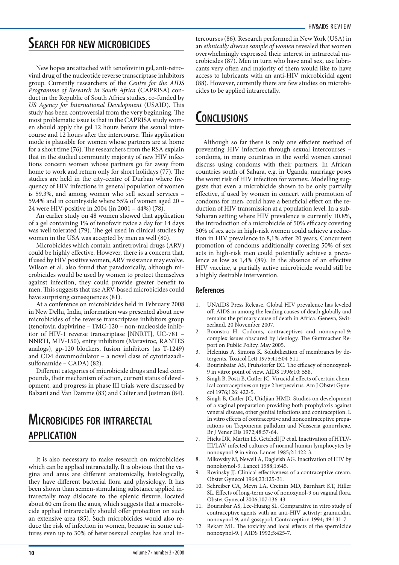### **Search for new microbicides**

New hopes are attached with tenofovir in gel, anti-retroviral drug of the nucleotide reverse transcriptase inhibitors group. Currently researchers of the *Centre for the AIDS Programme of Research in South Africa* (CAPRISA) conduct in the Republic of South Africa studies, co-funded by *US Agency for International Development* (USAID). This study has been controversial from the very beginning. The most problematic issue is that in the CAPRISA study women should apply the gel 12 hours before the sexual intercourse and 12 hours after the intercourse. This application mode is plausible for women whose partners are at home for a short time (76). The researchers from the RSA explain that in the studied community majority of new HIV infections concern women whose partners go far away from home to work and return only for short holidays (77). The studies are held in the city-centre of Durban where frequency of HIV infections in general population of women is 59.3%, and among women who sell sexual services – 59.4% and in countryside where 55% of women aged 20 – 24 were HIV-positive in 2004 (in 2001 – 44%) (78).

An earlier study on 48 women showed that application of a gel containing 1% of tenofovir twice a day for 14 days was well tolerated (79). The gel used in clinical studies by women in the USA was accepted by men as well (80).

Microbicides which contain antiretroviral drugs (ARV) could be highly effective. However, there is a concern that, if used by HIV positive women, ARV resistance may evolve. Wilson et al. also found that paradoxically, although microbicides would be used by women to protect themselves against infection, they could provide greater benefit to men. This suggests that use ARV-based microbicides could have surprising consequences (81).

At a conference on microbicides held in February 2008 in New Delhi, India, information was presented about new microbicides of the reverse transcriptase inhibitors group (tenofovir, dapivirine – TMC-120 – non-nucleoside inhibitor of HIV-1 reverse transcriptase [NNRTI], UC-781 – NNRTI, MIV-150), entry inhibitors (Maraviroc, RANTES analogs), gp-120 blockers, fusion inhibitors (as T-1249) and CD4 downmodulator – a novel class of cytotriazadisulfonamide – CADA) (82).

Different categories of microbicide drugs and lead compounds, their mechanism of action, current status of development, and progress in phase III trials were discussed by Balzarii and Van Damme (83) and Culter and Justman (84).

# **Microbicides for intrarectal application**

It is also necessary to make research on microbicides which can be applied intrarectally. It is obvious that the vagina and anus are different anatomically, histologically, they have different bacterial flora and physiology. It has been shown than semen-stimulating substance applied intrarectally may dislocate to the splenic flexure, located about 60 cm from the anus, which suggests that a microbicide applied intrarectally should offer protection on such an extensive area (85). Such microbicides would also reduce the risk of infection in women, because in some cultures even up to 30% of heterosexual couples has anal intercourses (86). Research performed in New York (USA) in an *ethnically diverse sample of women* revealed that women overwhelmingly expressed their interest in intrarectal microbicides (87). Men in turn who have anal sex, use lubricants very often and majority of them would like to have access to lubricants with an anti-HIV microbicidal agent (88). However, currently there are few studies on microbicides to be applied intrarectally.

### **Conclusions**

Although so far there is only one efficient method of preventing HIV infection through sexual intercourses – condoms, in many countries in the world women cannot discuss using condoms with their partners. In African countries south of Sahara, e.g. in Uganda, marriage poses the worst risk of HIV infection for wome*n.* Modelling suggests that even a microbicide shown to be only partially effective, if used by women in concert with promotion of condoms for men, could have a beneficial effect on the reduction of HIV transmission at a population level. In a sub-Saharan setting where HIV prevalence is currently 10.8%, the introduction of a microbicide of 50% efficacy covering 50% of sex acts in high-risk women could achieve a reduction in HIV prevalence to 8,1% after 20 years. Concurrent promotion of condoms additionally covering 50% of sex acts in high-risk men could potentially achieve a prevalence as low as 1,4% (89). In the absence of an effective HIV vaccine, a partially active microbicide would still be a highly desirable intervention.

#### **References**

- 1. UNAIDS Press Release. Global HIV prevalence has leveled off; AIDS in among the leading causes of death globally and remains the primary cause of death in Africa. Geneva, Switzerland. 20 November 2007.
- 2. Boonstra H. Codoms, contraceptives and nonoxynol-9: complex issues obscured by ideology. The Guttmacher Report on Public Policy. May 2005.
- Helenius A, Simons K. Solubilization of membranes by detergents. Toxicol Lett 1975;41:504-511.
- Bourinbaiar AS, Fruhstorfer EC. The efficacy of nonoxynol-9 in vitro: point of view. AIDS 1996;10: 558.
- Singh B, Posti B, Cutler JC. Virucidal effects of certain chemical contraceptives on type 2 herpesvirus. Am J Obstet Gynecol 1976;126: 422-5.
- Singh B, Cutler JC, Utidjian HMD. Studies on development of a vaginal preparation providing both prophylaxis against veneral disease, other genital infections and contraception. I. In vitro effects of contraceptive and noncontraceptive preparations on Treponema pallidum and Neisseria gonorrheae. Br J Vener Dis 1972;48:57-64.
- 7. Hicks DR, Martin LS, Getchell JP et al. Inactivation of HTLV-III/LAV infected cultures of normal human lymphocytes by nonoxynol-9 in vitro. Lancet 1985;2:1422-3.
- 8. Mlkovsky M, Newell A, Dagleish AG. Inactivation of HIV by nonoksynol-9. Lancet 1988;1:645.
- Rovinsky JJ. Clinical effectiveness of a contraceptive cream. Obstet Gynecol 1964;23:125-31.
- 10. Schreiber CA, Meyn LA, Creinin MD, Barnhart KT, Hiller SL. Effects of long-term use of nonoxynol-9 on vaginal flora. Obstet Gynecol 2006;107:136-43.
- 11. Bourinbar AS, Lee-Huang SL. Comparative in vitro study of contraceptive agents with an anti-HIV activity: gramicidin, nonoxynol-9, and gossypol. Contraception 1994; 49:131-7.
- 12. Rekart ML. The toxicity and local effects of the spermicide nonoxynol-9. J AIDS 1992;5:425-7.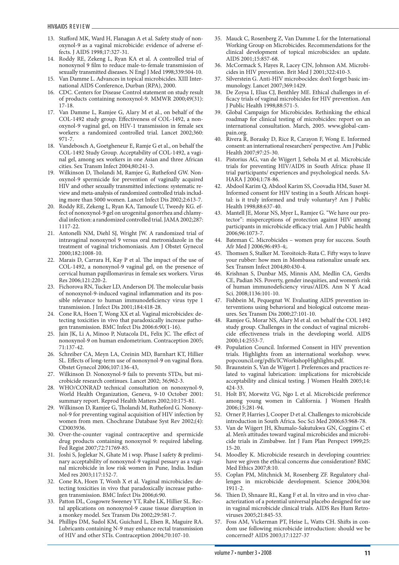- 13. Stafford MK, Ward H, Flanagan A et al. Safety study of nonoxynol-9 as a vaginal microbicide: evidence of adverse effects. J AIDS 1998;17:327-31.
- 14. Roddy RE, Zekeng L, Ryan KA et al. A controlled trial of nonoxynol 9 film to reduce male-to-female transmission of sexually transmitted diseases. N Engl J Med 1998;339:504-10.
- 15. Van Damme L. Advances in topical microbicides. XIII International AIDS Conference, Durban (RPA), 2000.
- 16. CDC. Centers for Disease Control statement on study result of products containing nonoxynol-9. MMWR 2000;49(31): 17-18.
- 17. Van Damme L, Ramjee G, Alary M et al., on behalf of the COL-1492 study group. Effectiveness of COL-1492, a nonoxynol-9 vaginal gel, on HIV-1 transmission in female sex workers: a randomized controlled trial. Lancet 2002;360: 971-7.
- 18. Vandebosch A, Goetgheneur E, Ramje G et al., on behalf the COL-1492 Study Group. Acceptability of COL-1492, a vaginal gel, among sex workers in one Asian and three African cities. Sex Transm Infect 2004;80:241-3.
- 19. Wilkinson D, Tholandi M, Ramjee G, Rutheford GW. Nonoxynol-9 spermicide for prevention of vaginally acquired HIV and other sexually transmitted infections: systematic review and meta-analysis of randomized controlled trials including more than 5000 women. Lancet Infect Dis 2002;2:613-7.
- 20. Roddy RE, Zekeng L, Ryan KA, Tamoufe U, Tweedy KG. effect of nonoxynol-9 gel on urogenital gonorrhea and chlamydial infection: a randomized controlled trial. JAMA 2002;287: 1117-22.
- 21. Antonelli NM, Diehl SJ, Wright JW. A randomized trial of intravaginal nonoxynol 9 versus oral metronidazole in the treatment of vaginal trichomoniasis. Am J Obstet Gynecol 2000;182:1008-10.
- 22. Marais D, Carrara H, Kay P et al. The impact of the use of COL-1492, a nonoxynol-9 vaginal gel, on the presence of cervical human papillomavirus in female sex workers. Virus Res 2006;121:220-2.
- 23. Fichorova RN, Tucker LD, Anderson DJ. The molecular basis of nonoxynol-9-induced vaginal inflammation and its possible relevance to human immunodeficiency virus type 1 transmission. J Infect Dis 2001;184:418-28.
- 24. Cone RA, Hoen T, Wong XX et al. Vaginal microbicides: detecting toxicities in vivo that paradoxically increase pathogen transmission. BMC Infect Dis 2006:6:90(1-16).
- 25. Jain JK, Li A, Minoo P, Nutacola DL, Felix JC. The effect of nonoxynol-9 on human endometrium. Contraception 2005; 71:137-42.
- 26. Schreiber CA, Meyn LA, Creinin MD, Barnhart KT, Hillier SL. Effects of long-term use of nonoxynol-9 on vaginal flora. Obstet Gynecol 2006;107:136-43,
- 27. Wilkinson D. Nonoxynol-9 fails to prevents STDs, but microbicide research continues. Lancet 2002; 36;962-3.
- 28. WHO/CONRAD technical consultation on nonoxynol-9, World Health Organization, Geneva, 9-10 October 2001: summary report. Reprod Health Matters 2002;10:175-81.
- 29. Wilkinson D, Ramjee G, Tholandi M, Rutheford G. Nonoxynol-9 for preventing vaginal acquisition of HIV infection by women from men. Chochrane Database Syst Rev 2002;(4): CD003936.
- 30. Over-the-counter vaginal contraceptive and spermicide drug products containing nonoxynol 9: required labeling. Fed Regist 2007;72:71769-85.
- 31. Joshi S, Joglekar N, Ghate M i wsp. Phase I safety & preliminary acceptability of nonoxynol-9 vaginal pessary as a vaginal microbicide in low risk women in Pune, India. Indian Med res 2003;117:152-7.
- 32. Cone RA, Hoen T, Wonh X et al. Vaginal microbicides: detecting toxicities in vivo that paradoxically increase pathogen transmission. BMC Infect Dis 2006;6:90.
- 33. Patton DL, Cosgowre Sweeney YT, Rabe LK, Hillier SL. Rectal applications on nonoxynol-9 cause tissue disruption in a monkey model. Sex Transm Dis 2002;29:581-7.
- 34. Phillips DM, Sudol KM, Guichard L, Elsen R, Maguire RA. Lubricants containing N-9 may enhance rectal transmission of HIV and other STIs. Contraception 2004;70:107-10.
- 35. Mauck C, Rosenberg Z, Van Damme L for the International Working Group on Microbicides. Recommendations for the clinical development of topical microbicides: an update. AIDS 2001;15:857-68.
- 36. McCormack S, Hayes R, Lacey CJN, Johnson AM. Microbicides in HIV prevention. Brit Med J 2001;322:410-3.
- 37. Silverstein G. Anti-HIV microbocides: don't forget basic immunology. Lancet 2007;369:1429.
- 38. De Zoysa I, Elias CJ, Benthley ME. Ethical challenges in efficacy trials of vaginal microbicides for HIV prevention. Am J Public Health 1998;88:571-5.
- 39. Global Campaign for Microbicides. Rethinking the ethical roadmap for clinical testing of microbicides: report on an international consultation. March, 2005. www.global-campain.org.
- 40. Rivera R, Borasky D, Rice R, Carayon F, Wong E. Informed consent: an international researchers' perspective. Am J Public Health 2007;97:25-30.
- 41. Pistorius AG, van de Wijgert J, Sebola M et al. Microbicide trials for preventing HIV/AIDS in South Africa: phase II trial participants/ experiences and psychological needs. SA-HARA J 2004;1:78-86.
- 42. Abdool Karim Q, Abdool Karim SS, Coovadia HM, Suser M. Informed consent for HIV testing in a South African hospital: is it truly informed and truly voluntary? Am J Public Health 1998;88:637-40.
- 43. Mantell JE, Morar NS, Myer L, Ramjee G. "We have our protector": misperceptions of protection against HIV among participants in microbicide efficacy trial. Am J Public health 2006;96:1073-7.
- 44. Bateman C. Microbicides women pray for success. South Afr Med J 2006;96:493-4;.
- 45. Thomsen S, Stalker M. Toroitoich-Ruta C. Fifty ways to leave your rubber: how men in Mombassa rationalize unsafe sex. Sex Transm Infect 2004;80:430-4.
- 46. Krishnan S, Dunbar MS, Minnis AM, Medlin CA, Gerdts CE, Padian NS. Poverty, gender inequities, and women's risk of human immunodeficiency virus/AIDS. Ann N Y Acad Sci. 2008;1136:101-10.
- 47. Fishbein M, Pequegnat W. Evaluating AIDS prevention interventions using behavioral and biological outcome measures. Sex Transm Dis 2000;27:101-10.
- 48. Ramjee G, Morar NS, Alary M et al. on behalf the COL 1492 study group. Challenges in the conduct of vaginal microbicide effectiveness trials in the developing world. AIDS 2000;14:2553-7.
- 49. Population Council. Informed Consent in HIV prevention trials. Highlights from an international workshop. www. popcouncil.org/pdfs/ICWorkshopHighlights.pdf.
- 50. Braunstein S, Van de Wijgert J. Preferences and practices related to vaginal lubrication: implications for microbicide acceptability and clinical testing. J Women Health 2005;14: 424-33.
- 51. Holt BY, Morwitz VG, Ngo L et al. Microbicide preference among young women in California. J Women Health 2006;15:281-94.
- 52. Orner P, Harries J, Cooper D et al. Challenges to microbicide introduction in South Africa. Soc Sci Med 2006;63:968-78.
- 53. Van de Wijgert JH, Khumalo-Sakutukwa GN, Coggins C et al. Men's attitudes toward vaginal microbicides and microbicide trials in Zimbabwe. Int J Fam Plan Perspect 1999;25: 15-20.
- 54. Moodley K. Microbicide research in developing countries: have we given the ethical concerns due consideration? BMC Med Ethics 2007;8:10.
- 55. Coplan PM, Mitchnick M, Rosenberg ZF. Regulatory challenges in microbicide development. Science 2004;304: 1911-2.
- 56. Thien D, Shnaare RL, Kang F et al. In vitro and in vivo characterization of a potential universal placebo designed for use in vaginal microbicide clinical trials. AIDS Res Hum Retroviruses 2005;21:845-53.
- 57. Foss AM, Vickerman PT, Heise L, Watts CH. Shifts in condom use following microbicide introduction: should we be concerned? AIDS 2003;17:1227-37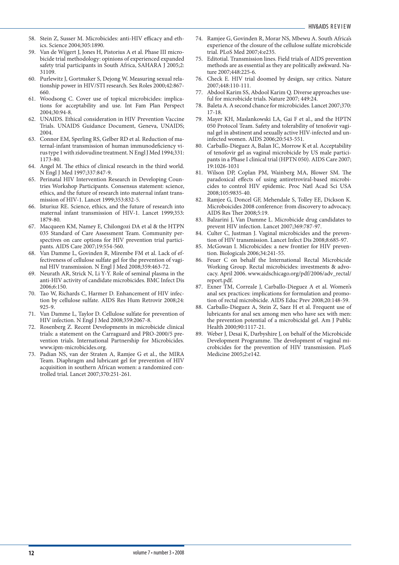- 58. Stein Z, Susser M. Microbicides: anti-HIV efficacy and ethics. Science 2004;305:1890.
- 59. Van de Wijgert J, Jones H, Pistorius A et al. Phase III microbicide trial methodology: opinions of experienced expanded safety trial participants in South Africa, SAHARA J 2005;2: 31109.
- 60. Purlewitz J, Gortmaker S, Dejong W. Measuring sexual relationship power in HIV/STI research. Sex Roles 2000;42:867- 660.
- 61. Woodsong C. Cover use of topical microbicides: implications for acceptability and use. Int Fam Plan Perspect 2004;30:94-8.
- 62. UNAIDS. Ethical consideration in HIV Prevention Vaccine Trials. UNAIDS Guidance Document, Geneva, UNAIDS; 2004.
- 63. Connor EM, Sperling RS, Gelber RD et al. Reduction of maternal-infant transmission of human immunodeficiency virus type 1 with zidovudine treatment. N Engl J Med 1994;331: 1173-80.
- 64. Angel M. The ethics of clinical research in the third world. N Engl J Med 1997;337:847-9.
- 65. Perinatal HIV Intervention Research in Developing Countries Workshop Participants. Consensus statement: science, ethics, and the future of research into maternal infant transmission of HIV-1. Lancet 1999;353:832-5.
- 66. Isturiuz RE. Science, ethics, and the future of research into maternal infant transmission of HIV-1. Lancet 1999;353: 1879-80.
- 67. Macqueen KM, Namey E, Chilongozi DA et al & the HTPN 035 Standard of Care Assessment Team. Community perspectives on care options for HIV prevention trial participants. AIDS Care 2007;19:554-560.
- 68. Van Damme L, Govinden R, Mirembe FM et al. Lack of effectiveness of cellulose sulfate gel for the prevention of vaginal HIV transmission. N Engl J Med 2008;359:463-72.
- 69. Neurath AR, Strick N, Li Y-Y. Role of seminal plasma in the anti-HIV activity of candidate microbicides. BMC Infect Dis 2006;6:150.
- 70. Tao W, Richards C, Harmer D. Enhancement of HIV infection by cellulose sulfate. AIDS Res Hum Retrovir 2008;24: 925-9.
- 71. Van Damme L, Taylor D. Cellulose sulfate for prevention of HIV infection. N Engl J Med 2008;359:2067-8.
- 72. Rosenberg Z. Recent Developments in microbicide clinical trials: a statement on the Carraguard and PRO-2000/5 prevention trials. International Partnership for Microbicides. www.ipm-microbicides.org.
- 73. Padian NS, van der Straten A, Ramjee G et al., the MIRA Team. Diaphragm and lubricant gel for prevention of HIV acquisition in southern African women: a randomized controlled trial. Lancet 2007;370:251-261.
- 74. Ramjee G, Govinden R, Morar NS, Mbewu A. South Africa's experience of the closure of the cellulose sulfate microbicide trial. PLoS Med 2007;4:e235.
- 75. Editotial. Transmission lines. Field trials of AIDS prevention methods are as essential as they are politically awkward. Nature 2007;448:225-6.
- 76. Check E. HIV trial doomed by design, say critics. Nature 2007;448:110-111.
- 77. Abdool Karim SS, Abdool Karim Q. Diverse approaches useful for microbicide trials. Nature 2007; 449:24.
- 78. Baleta A. A second chance for microbicides. Lancet 2007;370: 17-18.
- 79. Mayer KH, Maslankowski LA, Gai F et al., and the HPTN 050 Protocol Team. Safety and tolerability of tenofovir vaginal gel in abstinent and sexually active HIV-infected and uninfected women. AIDS 2006;20:543-551.
- 80. Carballo-Dieguez A, Balan IC, Morrow K et al. Acceptability of tenofovir gel as vaginal microbicide by US male participants in a Phase I clinical trial (HPTN 050). AIDS Care 2007; 19:1026-1031
- 81. Wilson DP, Coplan PM, Wainberg MA, Blower SM. The paradoxical effects of using antiretroviral-based microbicides to control HIV epidemic. Proc Natl Acad Sci USA 2008;105:9835-40.
- 82. Ramjee G, Doncel GF, Mehendale S, Tolley EE, Dickson K. Microboicides 2008 conference: from discovery to advocacy. AIDS Res Ther 2008;5:19.
- Balzarini J, Van Damme L. Microbicide drug candidates to prevent HIV infection. Lancet 2007;369:787-97.
- 84. Culter C, Justman J. Vaginal microbicides and the prevention of HIV transmission. Lancet Infect Dis 2008;8:685-97.
- 85. McGowan I. Microbicides: a new frontier for HIV prevention. Biologicals 2006;34:241-55.
- 86. Feuer C on behalf the International Rectal Microbicide Working Group. Rectal microbicides: investments & advocacy. April 2006. www.aidschicago.org/pdf/2006/adv\_rectal/ report.pdf.
- 87. Exner TM, Correale J, Carballo-Dieguez A et al. Women's anal sex practices: implications for formulation and promotion of rectal microbicide. AIDS Educ Prev 2008;20:148-59.
- 88. Carballo-Dieguez A, Stein Z, Saez H et al. Frequent use of lubricants for anal sex among men who have sex with men: the prevention potential of a microbicidal gel. Am J Public Health 2000;90:1117-21.
- 89. Weber J, Desai K, Darbyshire J, on behalf of the Microbicide Development Programme. The development of vaginal microbicides for the prevention of HIV transmission. PLoS Medicine 2005;2:e142.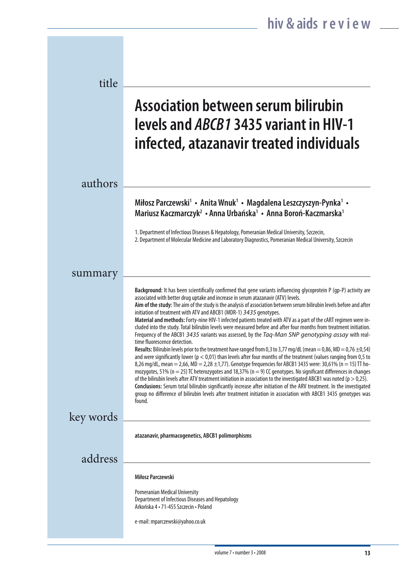| title     |                                                                                                                                                                                                                                                                                                                                                                                                                                                                                                                                                                                                                                                                                                                                                                                                                                                                                                                                                                                                                                                                                                                                                                                                                                                                                                                                                                                                                                                                                                                                                                                                                                                                 |
|-----------|-----------------------------------------------------------------------------------------------------------------------------------------------------------------------------------------------------------------------------------------------------------------------------------------------------------------------------------------------------------------------------------------------------------------------------------------------------------------------------------------------------------------------------------------------------------------------------------------------------------------------------------------------------------------------------------------------------------------------------------------------------------------------------------------------------------------------------------------------------------------------------------------------------------------------------------------------------------------------------------------------------------------------------------------------------------------------------------------------------------------------------------------------------------------------------------------------------------------------------------------------------------------------------------------------------------------------------------------------------------------------------------------------------------------------------------------------------------------------------------------------------------------------------------------------------------------------------------------------------------------------------------------------------------------|
|           | <b>Association between serum bilirubin</b><br>levels and ABCB1 3435 variant in HIV-1<br>infected, atazanavir treated individuals                                                                                                                                                                                                                                                                                                                                                                                                                                                                                                                                                                                                                                                                                                                                                                                                                                                                                                                                                                                                                                                                                                                                                                                                                                                                                                                                                                                                                                                                                                                                |
| authors   |                                                                                                                                                                                                                                                                                                                                                                                                                                                                                                                                                                                                                                                                                                                                                                                                                                                                                                                                                                                                                                                                                                                                                                                                                                                                                                                                                                                                                                                                                                                                                                                                                                                                 |
|           | Miłosz Parczewski <sup>1</sup> • Anita Wnuk <sup>1</sup> • Magdalena Leszczyszyn-Pynka <sup>1</sup> •<br>Mariusz Kaczmarczyk <sup>2</sup> • Anna Urbańska <sup>1</sup> • Anna Boroń-Kaczmarska <sup>1</sup>                                                                                                                                                                                                                                                                                                                                                                                                                                                                                                                                                                                                                                                                                                                                                                                                                                                                                                                                                                                                                                                                                                                                                                                                                                                                                                                                                                                                                                                     |
|           | 1. Department of Infectious Diseases & Hepatology, Pomeranian Medical University, Szczecin,<br>2. Department of Molecular Medicine and Laboratory Diagnostics, Pomeranian Medical University, Szczecin                                                                                                                                                                                                                                                                                                                                                                                                                                                                                                                                                                                                                                                                                                                                                                                                                                                                                                                                                                                                                                                                                                                                                                                                                                                                                                                                                                                                                                                          |
| summary   |                                                                                                                                                                                                                                                                                                                                                                                                                                                                                                                                                                                                                                                                                                                                                                                                                                                                                                                                                                                                                                                                                                                                                                                                                                                                                                                                                                                                                                                                                                                                                                                                                                                                 |
|           | Background: It has been scientifically confirmed that gene variants influencing glycoprotein P (gp-P) activity are<br>associated with better drug uptake and increase in serum atazanavir (ATV) levels.<br>Aim of the study: The aim of the study is the analysis of association between serum bilirubin levels before and after<br>initiation of treatment with ATV and ABCB1 (MDR-1) 3435 genotypes.<br>Material and methods: Forty-nine HIV-1 infected patients treated with ATV as a part of the cART regimen were in-<br>cluded into the study. Total bilirubin levels were measured before and after four months from treatment initiation.<br>Frequency of the ABCB1 3435 variants was assessed, by the Taq-Man SNP genotyping assay with real-<br>time fluorescence detection.<br>Results: Bilirubin levels prior to the treatment have ranged from 0,3 to 3,77 mg/dL (mean = 0,86, MD = 0,76 $\pm$ 0,54)<br>and were significantly lower ( $p < 0.01$ ) than levels after four months of the treatment (values ranging from 0,5 to<br>8,26 mg/dL, mean = 2,66, MD = 2,28 ±1,77). Genotype frequencies for ABCB1 3435 were: 30,61% (n = 15) TT ho-<br>mozyqotes, 51% (n = 25) TC heterozyqotes and 18,37% (n = 9) CC genotypes. No significant differences in changes<br>of the bilirubin levels after ATV treatment initiation in association to the investigated ABCB1 was noted ( $p > 0.25$ ).<br>Conclusions: Serum total bilirubin significantly increase after initiation of the ARV treatment. In the investigated<br>group no difference of bilirubin levels after treatment initiation in association with ABCB1 3435 genotypes was<br>found. |
| key words |                                                                                                                                                                                                                                                                                                                                                                                                                                                                                                                                                                                                                                                                                                                                                                                                                                                                                                                                                                                                                                                                                                                                                                                                                                                                                                                                                                                                                                                                                                                                                                                                                                                                 |
|           | atazanavir, pharmacogenetics, ABCB1 polimorphisms                                                                                                                                                                                                                                                                                                                                                                                                                                                                                                                                                                                                                                                                                                                                                                                                                                                                                                                                                                                                                                                                                                                                                                                                                                                                                                                                                                                                                                                                                                                                                                                                               |
| address   |                                                                                                                                                                                                                                                                                                                                                                                                                                                                                                                                                                                                                                                                                                                                                                                                                                                                                                                                                                                                                                                                                                                                                                                                                                                                                                                                                                                                                                                                                                                                                                                                                                                                 |
|           | Miłosz Parczewski                                                                                                                                                                                                                                                                                                                                                                                                                                                                                                                                                                                                                                                                                                                                                                                                                                                                                                                                                                                                                                                                                                                                                                                                                                                                                                                                                                                                                                                                                                                                                                                                                                               |
|           | Pomeranian Medical University<br>Department of Infectious Diseases and Hepatology<br>Arkońska 4 · 71-455 Szczecin · Poland                                                                                                                                                                                                                                                                                                                                                                                                                                                                                                                                                                                                                                                                                                                                                                                                                                                                                                                                                                                                                                                                                                                                                                                                                                                                                                                                                                                                                                                                                                                                      |
|           | e-mail: mparczewski@yahoo.co.uk                                                                                                                                                                                                                                                                                                                                                                                                                                                                                                                                                                                                                                                                                                                                                                                                                                                                                                                                                                                                                                                                                                                                                                                                                                                                                                                                                                                                                                                                                                                                                                                                                                 |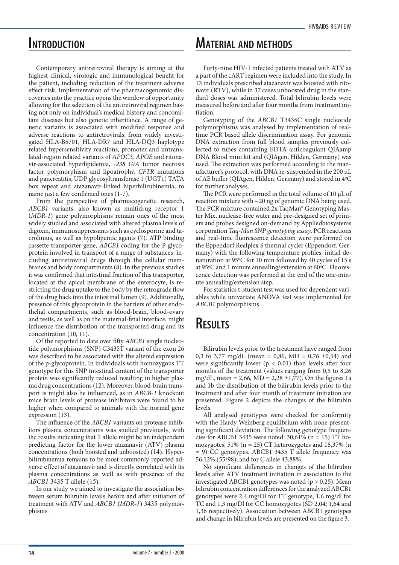### **Introduction**

Contemporary antiretroviral therapy is aiming at the highest clinical, virologic and immunological benefit for the patient, including reduction of the treatment adverse effect risk. Implementation of the pharmacogenomic discoveries into the practice opens the window of opportunity allowing for the selection of the antiretroviral regimen basing not only on individual's medical history and concomitant diseases but also genetic inheritance. A range of genetic variants is associated with modified response and adverse reactions to antiretrovirals, from widely investigated HLA-B5701, HLA-DR7 and HLA-DQ3 haplotype related hypersensitivity reactions, promoter and untranslated-region related variants of *APOC3, APOE* and ritonavir-associated hyperlipidemia, *-238 G/A* tumor necrosis factor polymorphism and lipoatrophy, *CFTR* mutations and pancreatitis, UDP glycosyltransferase 1 (UGT1) TATA box repeat and atazanavir-linked hiperbilirubinemia, to name just a few confirmed ones (1-7).

From the perspective of pharmacogenetic research, *ABCB1* variants, also known as multidrug receptor 1 (*MDR-1*) gene polymorphisms remain ones of the most widely studied and associated with altered plasma levels of digoxin, immunosuppressants such as cyclosporine and tacrolimus, as well as hypolipemic agents (7). ATP binding cassette transporter gene, *ABCB1* coding for the P-glycoprotein involved in transport of a range of substances, including antiretroviral drugs through the cellular membranes and body compartments (8). In the previous studies it was confirmed that intestinal fraction of this transporter, located at the apical membrane of the enterocyte, is restricting the drug uptake to the body by the retrograde flow of the drug back into the intestinal lumen (9). Additionally, presence of this glycoprotein in the barriers of other endothelial compartments, such as blood-brain, blood-ovary and testis, as well as on the maternal-fetal interface, might influence the distribution of the transported drug and its concentration (10, 11).

Of the reported to date over fifty *ABCB1* single nucleotide polymorphisms (SNP) C3435T variant of the exon 26 was described to be associated with the altered expression of the p-glycoprotein. In individuals with homozygous TT genotype for this SNP intestinal content of the transporter protein was significantly reduced resulting in higher plasma drug concentrations (12). Moreover, blood-brain transport is might also be influenced, as in *ABCB-1* knockout mice brain levels of protease inhibitors were found to be higher when compared to animals with the normal gene expression (13).

 The influence of the *ABCB1* variants on protease inhibitors plasma concentrations was studied previously, with the results indicating that T allele might be an independent predicting factor for the lower atazanavir (ATV) plasma concentrations (both boosted and unboosted) (14). Hyperbilirubinemia remains to be most commonly reported adverse effect of atazanavir and is directly correlated with its plasma concentrations as well as with presence of the *ABCB1* 3435 T allele (15).

 In our study we aimed to investigate the association between serum bilirubin levels before and after initiation of treatment with ATV and *ABCB1* (*MDR-1*) 3435 polymorphisms*.*

# **Material and methods**

Forty-nine HIV-1 infected patients treated with ATV as a part of the cART regimen were included into the study. In 13 individuals prescribed atazanavir was boosted with ritonavir (RTV), while in 37 cases unboosted drug in the standard doses was administered. Total bilirubin levels were measured before and after four months from treatment initiation.

Genotyping of the *ABCB1* T3435C single nucleotide polymorphisms was analysed by implementation of realtime PCR based allele discrimination assay. For genomic DNA extraction from full blood samples previously collected to tubes containing EDTA anticoagulant QIAamp DNA Blood mini kit and (QIAgen, Hilden, Germany) was used. The extraction was performed according to the manufacturer's protocol, with DNA re-suspended in the 200 µL of AE buffer (QIAgen, Hilden, Germany) and stored in 4°C for further analyses.

The PCR were performed in the total volume of 10 μL of reaction mixture with ~20 ng of genomic DNA being used. The PCR mixture contained 2x TaqMan® Genotyping Master Mix, nuclease-free water and pre-designed set of primers and probes designed on-demand by Appliedbiosystems corporation *Taq-Man SNP genotyping assay*. PCR reactions and real-time fluorescence detection were performed on the Eppendorf Realplex S thermal cycler (Eppendorf, Germany) with the following temperature profiles: initial denaturation at 95°C for 10 min followed by 40 cycles of 15 s at 95°C and 1 minute annealing/extension at 60°C. Fluorescence detection was performed at the end of the one-minute annealing/extension step.

For statistics t-student test was used for dependent variables while univariate ANOVA test was implemented for *ABCB1* polymorphisms.

# **Results**

Bilirubin levels prior to the treatment have ranged from 0,3 to 3,77 mg/dL (mean = 0,86, MD = 0,76  $\pm$ 0,54) and were significantly lower ( $p < 0.01$ ) than levels after four months of the treatment (values ranging from 0,5 to 8,26 mg/dL, mean = 2,66, MD = 2,28  $\pm$ 1,77). On the figures 1a and 1b the distribution of the bilirubin levels prior to the treatment and after four month of treatment initiation are presented. Figure 2 depicts the changes of the bilirubin levels.

All analysed genotypes were checked for conformity with the Hardy Weinberg equilibrium with none presenting significant deviation. The following genotype frequencies for ABCB1 3435 were noted: 30,61% (n = 15) TT homozygotes, 51% (n = 25) CT heterozygotes and 18,37% (n = 9) CC genotypes. ABCB1 3435 T allele frequency was 56,12% (55/98), and for C allele 43,88%.

No significant differences in changes of the bilirubin levels after ATV treatment initiation in association to the investigated ABCB1 genotypes was noted  $(p > 0.25)$ . Mean bilirubin concentration differences for the analyzed ABCB1 genotypes were 2,4 mg/Dl for TT genotype, 1,6 mg/dl for TC and 1,3 mg/Dl for CC homozygotes (SD 2,04; 1,64 and 1,36 respectively). Association between ABCB1 genotypes and change in bilirubin levels are presented on the figure 3.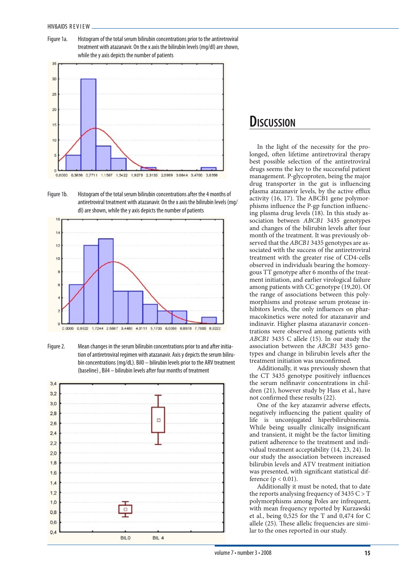Figure 1a. Histogram of the total serum bilirubin concentrations prior to the antiretroviral treatment with atazanavir. On the x axis the bilirubin levels (mg/dl) are shown, while the y axis depicts the number of patients



Figure 1b. Histogram of the total serum bilirubin concentrations after the 4 months of antiretroviral treatment with atazanavir. On the x axis the bilirubin levels (mg/ dl) are shown, while the y axis depicts the number of patients



Figure 2. Mean changes in the serum bilirubin concentrations prior to and after initiation of antiretroviral regimen with atazanavir. Axis y depicts the serum bilirubin concentrations (mg/dL). Bil0 – bilirubin levels prior to the ARV treatment (baseline) , Bil4 – bilirubin levels after four months of treatment



### **Discussion**

In the light of the necessity for the prolonged, often lifetime antiretroviral therapy best possible selection of the antiretroviral drugs seems the key to the successful patient management. P-glycoproten, being the major drug transporter in the gut is influencing plasma atazanavir levels, by the active efflux activity (16, 17). The ABCB1 gene polymorphisms influence the P-gp function influencing plasma drug levels (18). In this study association between *ABCB1* 3435 genotypes and changes of the bilirubin levels after four month of the treatment. It was previously observed that the *ABCB1* 3435 genotypes are associated with the success of the antiretroviral treatment with the greater rise of CD4-cells observed in individuals bearing the homozygous TT genotype after 6 months of the treatment initiation, and earlier virological failure among patients with CC genotype (19,20). Of the range of associations between this polymorphisms and protease serum protease inhibitors levels, the only influences on pharmacokinetics were noted for atazanavir and indinavir. Higher plasma atazanavir concentrations were observed among patients with *ABCB1* 3435 C allele (15). In our study the association between the *ABCB1* 3435 genotypes and change in bilirubin levels after the treatment initiation was unconfirmed.

Additionally, it was previously shown that the CT 3435 genotype positively influences the serum nelfinavir concentrations in children (21), however study by Hass et al., have not confirmed these results (22).

One of the key atazanvir adverse effects, negatively influencing the patient quality of life is unconjugated hiperbilirubinemia. While being usually clinically insignificant and transient, it might be the factor limiting patient adherence to the treatment and individual treatment acceptability (14, 23, 24). In our study the association between increased bilirubin levels and ATV treatment initiation was presented, with significant statistical difference ( $p < 0.01$ ).

Additionally it must be noted, that to date the reports analysing frequency of  $3435 \text{ C} > \text{T}$ polymorphisms among Poles are infrequent, with mean frequency reported by Kurzawski et al., being 0,525 for the T and 0,474 for C allele (25). These allelic frequencies are similar to the ones reported in our study.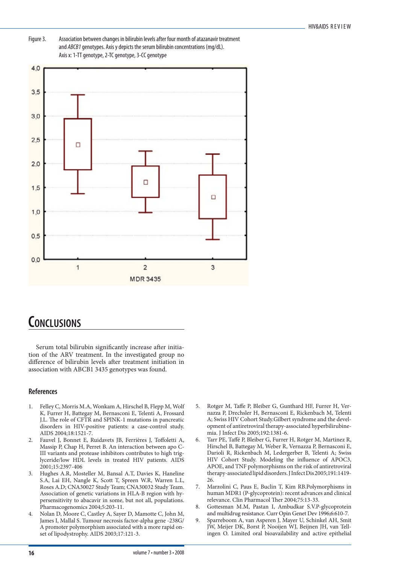Figure 3. Association between changes in bilirubin levels after four month of atazanavir treatment and *ABCB1* genotypes. Axis y depicts the serum bilirubin concentrations (mg/dL). Axis x: 1-TT genotype, 2-TC genotype, 3-CC genotype



# **Conclusions**

Serum total bilirubin significantly increase after initiation of the ARV treatment. In the investigated group no difference of bilirubin levels after treatment initiation in association with ABCB1 3435 genotypes was found.

#### **References**

- 1. Felley C, Morris M.A, Wonkam A, Hirschel B, Flepp M, Wolf K, Furrer H, Battegay M, Bernasconi E, Telenti A, Frossard J.L. The role of CFTR and SPINK-1 mutations in pancreatic disorders in HIV-positive patients: a case-control study. AIDS 2004;18:1521-7.
- 2. Fauvel J, Bonnet E, Ruidavets JB, Ferrières J, Toffoletti A, Massip P, Chap H, Perret B. An interaction between apo C-III variants and protease inhibitors contributes to high triglyceride/low HDL levels in treated HIV patients. AIDS 2001;15:2397-406
- 3. Hughes A.R, Mosteller M, Bansal A.T, Davies K, Haneline S.A, Lai EH, Nangle K, Scott T, Spreen W.R, Warren L.L, Roses A.D; CNA30027 Study Team; CNA30032 Study Team. Association of genetic variations in HLA-B region with hypersensitivity to abacavir in some, but not all, populations. Pharmacogenomics 2004;5:203-11.
- 4. Nolan D, Moore C, Castley A, Sayer D, Mamotte C, John M, James I, Mallal S. Tumour necrosis factor-alpha gene -238G/ A promoter polymorphism associated with a more rapid onset of lipodystrophy. AIDS 2003;17:121-3.
- 5. Rotger M, Taffe P, Bleiber G, Gunthard HF, Furrer H, Vernazza P, Drechsler H, Bernasconi E, Rickenbach M, Telenti A; Swiss HIV Cohort Study.Gilbert syndrome and the development of antiretroviral therapy-associated hyperbilirubinemia. J Infect Dis 2005;192:1381-6.
- 6. Tarr PE, Taffé P, Bleiber G, Furrer H, Rotger M, Martinez R, Hirschel B, Battegay M, Weber R, Vernazza P, Bernasconi E, Darioli R, Rickenbach M, Ledergerber B, Telenti A; Swiss HIV Cohort Study. Modeling the influence of APOC3, APOE, and TNF polymorphisms on the risk of antiretroviral therapy-associated lipid disorders. J Infect Dis 2005;191:1419- 26.
- 7. Marzolini C, Paus E, Buclin T, Kim RB.Polymorphisms in human MDR1 (P-glycoprotein): recent advances and clinical relevance. Clin Pharmacol Ther 2004;75:13-33.
- 8. Gottesman M.M, Pastan I, Ambudkar S.V.P-glycoprotein and multidrug resistance. Curr Opin Genet Dev 1996;6:610-7.
- 9. Sparreboom A, van Asperen J, Mayer U, Schinkel AH, Smit JW, Meijer DK, Borst P, Nooijen WJ, Beijnen JH, van Tellingen O. Limited oral bioavailability and active epithelial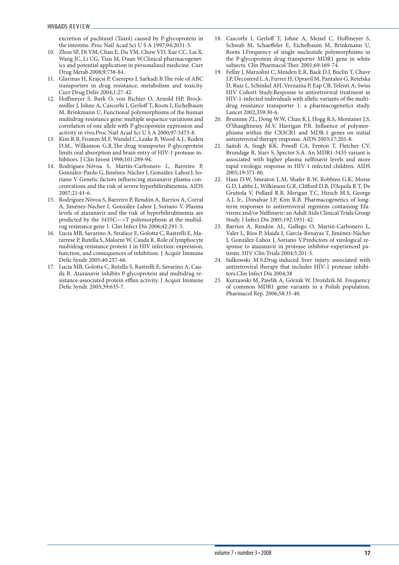excretion of paclitaxel (Taxol) caused by P-glycoprotein in the intestine. Proc Natl Acad Sci U S A 1997;94:2031-5.

- 10. Zhou SF, Di YM, Chan E, Du YM, Chow VD, Xue CC, Lai X, Wang JC, Li CG, Tian M, Duan W.Clinical pharmacogenetics and potential application in personalized medicine. Curr Drug Metab 2008;9:738-84.
- 11. Glavinas H, Krajcsi P, Cserepes J, Sarkadi B.The role of ABC transporters in drug resistance, metabolism and toxicity. Curr Drug Deliv 2004;1:27-42.
- 12. Hoffmeyer S, Burk O, von Richter O, Arnold HP, Brockmöller J, Johne A, Cascorbi I, Gerloff T, Roots I, Eichelbaum M, Brinkmann U. Functional polymorphisms of the human multidrug-resistance gene: multiple sequence variations and correlation of one allele with P-glycoprotein expression and activity in vivo.Proc Natl Acad Sci U S A 2000;97:3473-8.
- 13. Kim R.B, Fromm M.F, Wandel C, Leake B, Wood A.J., Roden D.M., Wilkinson G.R.The drug transporter P-glycoprotein limits oral absorption and brain entry of HIV-1 protease inhibitors. J Clin Invest 1998;101:289-94.
- 14. Rodríguez-Nóvoa S, Martín-Carbonero L, Barreiro P, González-Pardo G, Jiménez-Nácher I, González-Lahoz J, Soriano V Genetic factors influencing atazanavir plasma concentrations and the risk of severe hyperbilirubinemia. AIDS 2007;21:41-6.
- 15. Rodríguez Nóvoa S, Barreiro P, Rendón A, Barrios A, Corral A, Jiménez-Nacher I, González-Lahoz J, Soriano V. Plasma levels of atazanavir and the risk of hyperbilirubinemia are predicted by the 3435C—>T polymorphism at the multidrug resistance gene 1. Clin Infect Dis 2006;42:291-5.
- 16. Lucia MB, Savarino A, Straface E, Golotta C, Rastrelli E, Matarrese P, Rutella S, Malorni W, Cauda R. Role of lymphocyte multidrug resistance protein 1 in HIV infection: expression, function, and consequences of inhibition. J Acquir Immune Defic Syndr 2005;40:257-66.
- 17. Lucia MB, Golotta C, Rutella S, Rastrelli E, Savarino A, Cauda R. Atazanavir inhibits P-glycoprotein and multidrug resistance-associated protein efflux activity. J Acquir Immune Defic Syndr. 2005;39:635-7.
- 18. Cascorbi I, Gerloff T, Johne A, Meisel C, Hoffmeyer S, Schwab M, Schaeffeler E, Eichelbaum M, Brinkmann U, Roots I.Frequency of single nucleotide polymorphisms in the P-glycoprotein drug transporter MDR1 gene in white subjects. Clin Pharmacol Ther. 2001;69:169-74.
- 19. Fellay J, Marzolini C, Meaden E.R, Back D.J, Buclin T, Chave J.P, Decosterd L.A, Furrer H, Opravil M, Pantaleo G, Retelska D, Ruiz L, Schinkel AH, Vernazza P, Eap CB, Telenti A; Swiss HIV Cohort Study.Response to antiretroviral treatment in HIV-1-infected individuals with allelic variants of the multidrug resistance transporter 1: a pharmacogenetics study. Lancet 2002;359:30-6.
- 20. Brumme ZL, Dong W.W, Chan K.J, Hogg R.S, Montaner J.S, O'Shaughnessy M.V, Harrigan P.R. Influence of polymorphisms within the CX3CR1 and MDR-1 genes on initial antiretroviral therapy response. AIDS 2003;17:201-8.
- 21. Saitoh A, Singh KK, Powell CA, Fenton T, Fletcher CV, Brundage R, Starr S, Spector S.A. An MDR1-3435 variant is associated with higher plasma nelfinavir levels and more rapid virologic response in HIV-1 infected children. AIDS 2005;19:371-80.
- 22. Haas D.W, Smeaton L.M, Shafer R.W, Robbins G.K, Morse G.D, Labbe L, Wilkinson G.R, Clifford D.B, D'Aquila R.T, De Gruttola V, Pollard R.B, Merigan T.C, Hirsch M.S, George A.L Jr., Donahue J.P, Kim R.B. Pharmacogenetics of longterm responses to antiretroviral regimens containing Efavirenz and/or Nelfinavir: an Adult Aids Clinical Trials Group Study. J Infect Dis 2005;192:1931-42.
- 23. Barrios A, Rendón AL, Gallego O, Martín-Carbonero L, Valer L, Ríos P, Maida I, García-Benayas T, Jiménez-Nácher I, González-Lahoz J, Soriano V.Predictors of virological response to atazanavir in protease inhibitor-experienced patients. HIV Clin Trials 2004;5:201-5.
- 24. Sulkowski M.S.Drug-induced liver injury associated with antiretroviral therapy that includes HIV-1 protease inhibitors.Clin Infect Dis 2004;38
- 25. Kurzawski M, Pawlik A, Górnik W, Droździk M. Frequency of common MDR1 gene variants in a Polish population. Pharmacol Rep. 2006;58:35-40.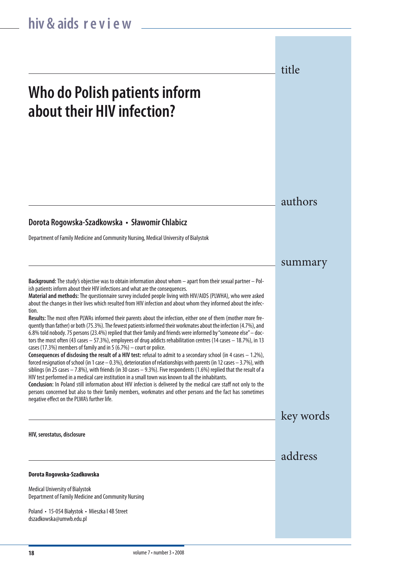authors summary key words title address **Who do Polish patients inform about their HIV infection? HIV, serostatus, disclosure Background:** The study's objective was to obtain information about whom – apart from their sexual partner – Polish patients inform about their HIV infections and what are the consequences. **Material and methods:** The questionnaire survey included people living with HIV/AIDS (PLWHA), who were asked about the changes in their lives which resulted from HIV infection and about whom they informed about the infection. **Results:** The most often PLWAs informed their parents about the infection, either one of them (mother more frequently than father) or both (75.3%). The fewest patients informed their workmates about the infection (4.7%), and 6.8% told nobody. 75 persons (23.4%) replied that their family and friends were informed by "someone else" – doctors the most often (43 cases – 57.3%), employees of drug addicts rehabilitation centres (14 cases – 18.7%), in 13 cases (17.3%) members of family and in 5 (6.7%) – court or police. **Consequences of disclosing the result of a HIV test:** refusal to admit to a secondary school (in 4 cases – 1.2%), forced resignation of school (in 1 case – 0.3%), deterioration of relationships with parents (in 12 cases – 3.7%), with siblings (in 25 cases – 7.8%), with friends (in 30 cases – 9.3%). Five respondents (1.6%) replied that the result of a HIV test performed in a medical care institution in a small town was known to all the inhabitants. **Conclusion:** In Poland still information about HIV infection is delivered by the medical care staff not only to the persons concerned but also to their family members, workmates and other persons and the fact has sometimes negative effect on the PLWA's further life. **Dorota Rogowska-Szadkowska** Medical University of Bialystok Department of Family Medicine and Community Nursing Poland • 15-054 Białystok • Mieszka I 4B Street dszadkowska@umwb.edu.pl **Dorota Rogowska-Szadkowska • Sławomir Chlabicz** Department of Family Medicine and Community Nursing, Medical University of Bialystok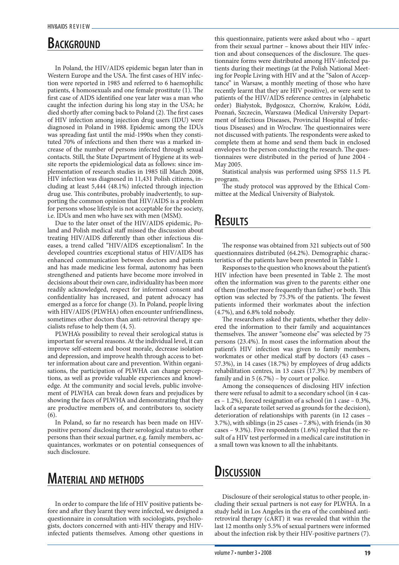# **BACKGROUND**

In Poland, the HIV/AIDS epidemic began later than in Western Europe and the USA. The first cases of HIV infection were reported in 1985 and referred to 6 haemophilic patients, 4 homosexuals and one female prostitute (1). The first case of AIDS identified one year later was a man who caught the infection during his long stay in the USA; he died shortly after coming back to Poland (2). The first cases of HIV infection among injection drug users (IDU) were diagnosed in Poland in 1988. Epidemic among the IDUs was spreading fast until the mid-1990s when they constituted 70% of infections and then there was a marked increase of the number of persons infected through sexual contacts. Still, the State Department of Hygiene at its website reports the epidemiological data as follows: since implementation of research studies in 1985 till March 2008, HIV infection was diagnosed in 11,431 Polish citizens, including at least 5,444 (48.1%) infected through injection drug use. This contributes, probably inadvertently, to supporting the common opinion that HIV/AIDS is a problem for persons whose lifestyle is not acceptable for the society, i.e. IDUs and men who have sex with men (MSM).

Due to the later onset of the HIV/AIDS epidemic, Poland and Polish medical staff missed the discussion about treating HIV/AIDS differently than other infectious diseases, a trend called "HIV/AIDS exceptionalism". In the developed countries exceptional status of HIV/AIDS has enhanced communication between doctors and patients and has made medicine less formal, autonomy has been strengthened and patients have become more involved in decisions about their own care, individuality has been more readily acknowledged, respect for informed consent and confidentiality has increased, and patent advocacy has emerged as a force for change (3). In Poland, people living with HIV/AIDS (PLWHA) often encounter unfriendliness, sometimes other doctors than anti-retroviral therapy specialists refuse to help them (4, 5).

PLWHA's possibility to reveal their serological status is important for several reasons. At the individual level, it can improve self-esteem and boost morale, decrease isolation and depression, and improve health through access to better information about care and prevention. Within organisations, the participation of PLWHA can change perceptions, as well as provide valuable experiences and knowledge. At the community and social levels, public involvement of PLWHA can break down fears and prejudices by showing the faces of PLWHA and demonstrating that they are productive members of, and contributors to, society (6).

In Poland, so far no research has been made on HIVpositive persons' disclosing their serological status to other persons than their sexual partner, e.g. family members, acquaintances, workmates or on potential consequences of such disclosure.

# **Material and methods**

In order to compare the life of HIV positive patients before and after they learnt they were infected, we designed a questionnaire in consultation with sociologists, psychologists, doctors concerned with anti-HIV therapy and HIVinfected patients themselves. Among other questions in this questionnaire, patients were asked about who – apart from their sexual partner – knows about their HIV infection and about consequences of the disclosure. The questionnaire forms were distributed among HIV-infected patients during their meetings (at the Polish National Meeting for People Living with HIV and at the "Salon of Acceptance" in Warsaw, a monthly meeting of those who have recently learnt that they are HIV positive), or were sent to patients of the HIV/AIDS reference centres in (alphabetic order) Białystok, Bydgoszcz, Chorzów, Kraków, Łódź, Poznań, Szczecin, Warszawa (Medical University Department of Infectious Diseases, Provincial Hospital of Infectious Diseases) and in Wrocław. The questionnaires were not discussed with patients. The respondents were asked to complete them at home and send them back in enclosed envelopes to the person conducting the research. The questionnaires were distributed in the period of June 2004 - May 2005.

Statistical analysis was performed using SPSS 11.5 PL program.

The study protocol was approved by the Ethical Committee at the Medical University of Białystok.

# **Results**

The response was obtained from 321 subjects out of 500 questionnaires distributed (64.2%). Demographic characteristics of the patients have been presented in Table 1.

Responses to the question who knows about the patient's HIV infection have been presented in Table 2. The most often the information was given to the parents: either one of them (mother more frequently than father) or both. This option was selected by 75.3% of the patients. The fewest patients informed their workmates about the infection (4.7%), and 6.8% told nobody.

The researchers asked the patients, whether they delivered the information to their family and acquaintances themselves. The answer "someone else" was selected by 75 persons (23.4%). In most cases the information about the patient's HIV infection was given to family members, workmates or other medical staff by doctors (43 cases – 57.3%), in 14 cases (18.7%) by employees of drug addicts rehabilitation centres, in 13 cases (17.3%) by members of family and in  $5(6.7%)$  – by court or police.

Among the consequences of disclosing HIV infection there were refusal to admit to a secondary school (in 4 cases – 1.2%), forced resignation of a school (in 1 case – 0.3%, lack of a separate toilet served as grounds for the decision), deterioration of relationships with parents (in 12 cases – 3.7%), with siblings (in 25 cases – 7.8%), with friends (in 30 cases – 9.3%). Five respondents (1.6%) replied that the result of a HIV test performed in a medical care institution in a small town was known to all the inhabitants.

### **Discussion**

Disclosure of their serological status to other people, including their sexual partners is not easy for PLWHA. In a study held in Los Angeles in the era of the combined antiretroviral therapy (cART) it was revealed that within the last 12 months only 5.5% of sexual partners were informed about the infection risk by their HIV-positive partners (7).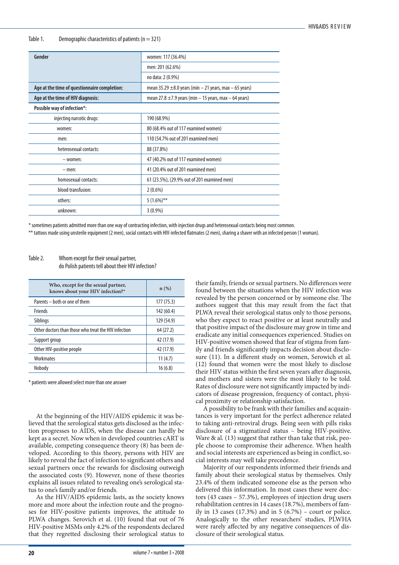Table 1. Demographic characteristics of patients ( $n = 321$ )

| Gender                                       | women: 117 (36.4%)                                           |  |  |
|----------------------------------------------|--------------------------------------------------------------|--|--|
|                                              | men: 201 (62.6%)                                             |  |  |
|                                              | no data: 2 (0.9%)                                            |  |  |
| Age at the time of questionnaire completion: | mean $35.29 \pm 8.0$ years (min – 21 years, max – 65 years)  |  |  |
| Age at the time of HIV diagnosis:            | mean $27.8 \pm 7.9$ years (min $-15$ years, max $-64$ years) |  |  |
| Possible way of infection*:                  |                                                              |  |  |
| injecting narcotic drugs:                    | 190 (68.9%)                                                  |  |  |
| women:                                       | 80 (68.4% out of 117 examined women)                         |  |  |
| men:                                         | 110 (54.7% out of 201 examined men)                          |  |  |
| heterosexual contacts:                       | 88 (37.8%)                                                   |  |  |
| - women:                                     | 47 (40.2% out of 117 examined women)                         |  |  |
| $-$ men:                                     | 41 (20.4% out of 201 examined men)                           |  |  |
| homosexual contacts:                         | 61 (23.5%), (29.9% out of 201 examined men)                  |  |  |
| blood transfusion:                           | $2(0.6\%)$                                                   |  |  |
| others:                                      | $5(1.6\%)$ **                                                |  |  |
| unknown:                                     | $3(0.9\%)$                                                   |  |  |
|                                              |                                                              |  |  |

\* sometimes patients admitted more than one way of contracting infection, with injection drugs and heterosexual contacts being most common.

\*\* tattoos made using unsterile equipment (2 men), social contacts with HIV-infected flatmates (2 men), sharing a shaver with an infected person (1 woman).

#### Table 2. Whom except for their sexual partner, do Polish patients tell about their HIV infection?

| Who, except for the sexual partner,<br>knows about your HIV infection?* | $n(\%)$    |
|-------------------------------------------------------------------------|------------|
| Parents - both or one of them                                           | 177(75.3)  |
| <b>Friends</b>                                                          | 142 (60.4) |
| Siblings                                                                | 129 (54.9) |
| Other doctors than those who treat the HIV infection                    | 64 (27.2)  |
| Support group                                                           | 42 (17.9)  |
| Other HIV-positive people                                               | 42 (17.9)  |
| <b>Workmates</b>                                                        | 11(4.7)    |
| Nobody                                                                  | 16(6.8)    |

\* patients were allowed select more than one answer

At the beginning of the HIV/AIDS epidemic it was believed that the serological status gets disclosed as the infection progresses to AIDS, when the disease can hardly be kept as a secret. Now when in developed countries cART is available, competing consequence theory (8) has been developed. According to this theory, persons with HIV are likely to reveal the fact of infection to significant others and sexual partners once the rewards for disclosing outweigh the associated costs (9). However, none of these theories explains all issues related to revealing one's serological status to one's family and/or friends.

As the HIV/AIDS epidemic lasts, as the society knows more and more about the infection route and the prognoses for HIV-positive patients improves, the attitude to PLWA changes. Serovich et al. (10) found that out of 76 HIV-positive MSMs only 4.2% of the respondents declared that they regretted disclosing their serological status to

their family, friends or sexual partners. No differences were found between the situations when the HIV infection was revealed by the person concerned or by someone else. The authors suggest that this may result from the fact that PLWA reveal their serological status only to those persons, who they expect to react positive or at least neutrally and that positive impact of the disclosure may grow in time and eradicate any initial consequences experienced. Studies on HIV-positive women showed that fear of stigma from family and friends significantly impacts decision about disclosure (11). In a different study on women, Serowich et al. (12) found that women were the most likely to disclose their HIV status within the first seven years after diagnosis, and mothers and sisters were the most likely to be told. Rates of disclosure were not significantly impacted by indicators of disease progression, frequency of contact, physical proximity or relationship satisfaction.

A possibility to be frank with their families and acquaintances is very important for the perfect adherence related to taking anti-retroviral drugs. Being seen with pills risks disclosure of a stigmatized status – being HIV-positive. Ware & al. (13) suggest that rather than take that risk, people choose to compromise their adherence. When health and social interests are experienced as being in conflict, social interests may well take precedence.

Majority of our respondents informed their friends and family about their serological status by themselves. Only 23.4% of them indicated someone else as the person who delivered this information. In most cases these were doctors (43 cases – 57.3%), employees of injection drug users rehabilitation centres in 14 cases (18.7%), members of family in 13 cases  $(17.3%)$  and in 5  $(6.7%)$  – court or police. Analogically to the other researchers' studies, PLWHA were rarely affected by any negative consequences of disclosure of their serological status.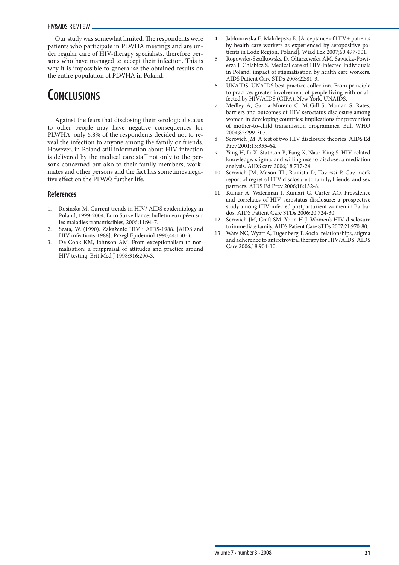Our study was somewhat limited. The respondents were patients who participate in PLWHA meetings and are under regular care of HIV-therapy specialists, therefore persons who have managed to accept their infection. This is why it is impossible to generalise the obtained results on the entire population of PLWHA in Poland.

# **Conclusions**

Against the fears that disclosing their serological status to other people may have negative consequences for PLWHA, only 6.8% of the respondents decided not to reveal the infection to anyone among the family or friends. However, in Poland still information about HIV infection is delivered by the medical care staff not only to the persons concerned but also to their family members, workmates and other persons and the fact has sometimes negative effect on the PLWA's further life.

#### **References**

- 1. Rosinska M. Current trends in HIV/ AIDS epidemiology in Poland, 1999-2004. Euro Surveillance: bulletin européen sur les maladies transmissibles, 2006;11:94-7.
- 2. Szata, W. (1990). Zakażenie HIV i AIDS-1988. [AIDS and HIV infections-1988]. Przegl Epidemiol 1990;44:130-3.
- De Cook KM, Johnson AM. From exceptionalism to normalisation: a reappraisal of attitudes and practice around HIV testing. Brit Med J 1998;316:290-3.
- 4. Jabłonowska E, Małolepsza E. [Acceptance of HIV+ patients by health care workers as experienced by seropositive patients in Lodz Region, Poland]. Wiad Lek 2007;60:497-501.
- 5. Rogowska-Szadkowska D, Ołtarzewska AM, Sawicka-Powierza J, Chlabicz S. Medical care of HIV-infected individuals in Poland: impact of stigmatisation by health care workers. AIDS Patient Care STDs 2008;22:81-3.
- UNAIDS. UNAIDS best practice collection. From principle to practice: greater involvement of people living with or affected by HIV/AIDS (GIPA). New York. UNAIDS.
- 7. Medley A, Garcia-Moreno C, McGill S, Maman S. Rates, barriers and outcomes of HIV serostatus disclosure among women in developing countries: implications for prevention of mother-to-child transmission programmes. Bull WHO 2004;82:299-307.
- 8. Serovich JM. A test of two HIV disclosure theories. AIDS Ed Prev 2001;13:355-64.
- 9. Yang H, Li X, Statnton B, Fang X, Naar-King S. HIV-related knowledge, stigma, and willingness to disclose: a mediation analysis. AIDS care 2006;18:717-24.
- 10. Serovich JM, Mason TL, Bautista D, Toviessi P. Gay men's report of regret of HIV disclosure to family, friends, and sex partners. AIDS Ed Prev 2006;18:132-8.
- 11. Kumar A, Waterman I, Kumari G, Carter AO. Prevalence and correlates of HIV serostatus disclosure: a prospective study among HIV-infected postparturient women in Barbados. AIDS Patient Care STDs 2006;20:724-30.
- 12. Serovich JM, Craft SM, Yoon H-J. Women's HIV disclosure to immediate family. AIDS Patient Care STDs 2007;21:970-80.
- 13. Ware NC, Wyatt A, Tugenberg T. Social relationships, stigma and adherence to antiretroviral therapy for HIV/AIDS. AIDS Care 2006;18:904-10.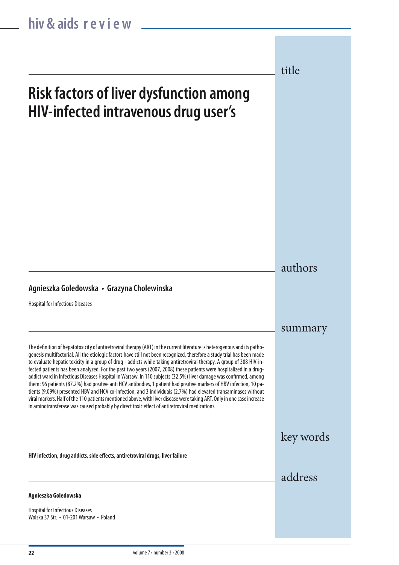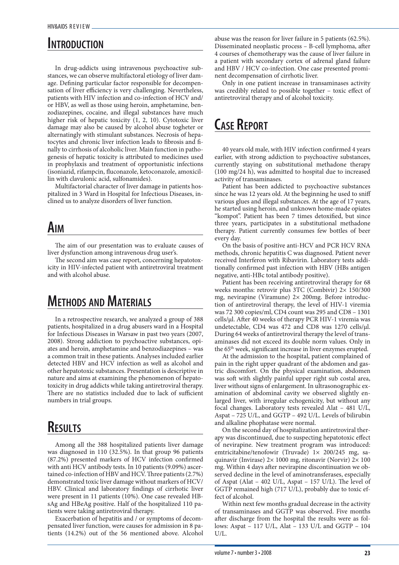# **Introduction**

In drug-addicts using intravenous psychoactive substances, we can observe multifactoral etiology of liver damage. Defining particular factor responsible for decompensation of liver efficiency is very challenging. Nevertheless, patients with HIV infection and co-infection of HCV and/ or HBV, as well as those using heroin, amphetamine, benzodiazepines, cocaine, and illegal substances have much higher risk of hepatic toxicity (1, 2, 10). Cytotoxic liver damage may also be caused by alcohol abuse togheter or alternatingly with stimulant substances. Necrosis of hepatocytes and chronic liver infection leads to fibrosis and finally to cirrhosis of alcoholic liver. Main function in pathogenesis of hepatic toxicity is attributed to medicines used in prophylaxis and treatment of opportunistic infections (isoniazid, rifampcin, fluconazole, ketoconazole, amoxicillin with clavulonic acid, sulfonamides).

Multifactorial character of liver damage in patients hospitalized in 3 Ward in Hospital for Infectious Diseases, inclined us to analyze disorders of liver function.

# **Aim**

The aim of our presentation was to evaluate causes of liver dysfunction among intravenous drug user's.

The second aim was case report, concerning hepatotoxicity in HIV-infected patient with antiretroviral treatment and with alcohol abuse.

# **Methods and Materials**

In a retrospective research, we analyzed a group of 388 patients, hospitalized in a drug abusers ward in a Hospital for Infectious Diseases in Warsaw in past two years (2007, 2008). Strong addiction to psychoactive substances, opiates and heroin, amphetamine and benzodiazepines – was a common trait in these patients. Analyses included earlier detected HBV and HCV infection as well as alcohol and other hepatotoxic substances. Presentation is descriptive in nature and aims at examining the phenomenon of hepatotoxicity in drug addicts while taking antiretroviral therapy. There are no statistics included due to lack of sufficient numbers in trial groups.

# **Results**

Among all the 388 hospitalized patients liver damage was diagnosed in 110 (32.5%). In that group 96 patients (87.2%) presented markers of HCV infection confirmed with anti HCV antibody tests. In 10 patients (9.09%) ascertained co-infection of HBV and HCV. Three patients (2.7%) demonstrated toxic liver damage without markers of HCV/ HBV. Clinical and laboratory findings of cirrhotic liver were present in 11 patients (10%). One case revealed HBsAg and HBeAg positive. Half of the hospitalized 110 patients were taking antiretroviral therapy.

Exacerbation of hepatitis and / or symptoms of decompensated liver function, were causes for admission in 8 patients (14.2%) out of the 56 mentioned above. Alcohol abuse was the reason for liver failure in 5 patients (62.5%). Disseminated neoplastic process – B-cell lymphoma, after 4 courses of chemotherapy was the cause of liver failure in a patient with secondary cortex of adrenal gland failure and HBV / HCV co-infection. One case presented prominent decompensation of cirrhotic liver.

Only in one patient increase in transaminases activity was credibly related to possible together – toxic effect of antiretroviral therapy and of alcohol toxicity.

# **Case Report**

40 years old male, with HIV infection confirmed 4 years earlier, with strong addiction to psychoactive substances, currently staying on substitutional methadone therapy (100 mg/24 h), was admitted to hospital due to increased activity of transaminases.

Patient has been addicted to psychoactive substances since he was 12 years old. At the beginning he used to sniff various glues and illegal substances. At the age of 17 years, he started using heroin, and unknown home-made opiates "kompot". Patient has been 7 times detoxified, but since three years, participates in a substitutional methadone therapy. Patient currently consumes few bottles of beer every day.

On the basis of positive anti-HCV and PCR HCV RNA methods, chronic hepatitis C was diagnosed. Patient never received Interferon with Ribavirin. Laboratory tests additionally confirmed past infection with HBV (HBs antigen negative, anti-HBc total antibody positive).

Patient has been receiving antiretroviral therapy for 68 weeks months: retrovir plus 3TC (Combivir) 2× 150/300 mg, nevirapine (Viramune) 2× 200mg. Before introduction of antiretroviral therapy, the level of HIV-1 viremia was 72 300 copies/ml, CD4 count was 295 and CD8 – 1301 cells/ $\mu$ l. After 40 weeks of therapy PCR HIV-1 viremia was undetectable, CD4 was 472 and CD8 was 1270 cells/µl. During 64 weeks of antiretroviral therapy the level of transaminases did not exceed its double norm values. Only in the 65<sup>th</sup> week, significant increase in liver enzymes erupted.

At the admission to the hospital, patient complained of pain in the right upper quadrant of the abdomen and gastric discomfort. On the physical examination, abdomen was soft with slightly painful upper right sub costal area, liver without signs of enlargement. In ultrasonographic examination of abdominal cavity we observed slightly enlarged liver, with irregular echogenicity, but without any focal changes. Laboratory tests revealed Alat – 481 U/L, Aspat – 725 U/L, and GGTP – 492 U/L. Levels of bilirubin and alkaline phophatase were normal.

On the second day of hospitalization antiretroviral therapy was discontinued, due to suspecting hepatotoxic effect of nevirapine. New treatment program was introduced: emtricitabine/tenofowir (Truvade) 1× 200/245 mg, saquinavir (Invirase)  $2 \times 1000$  mg, ritonavir (Norvir)  $2 \times 100$ mg. Within 4 days after nevirapine discontinuation we observed decline in the level of aminotransferases, especially of Aspat (Alat – 402 U/L, Aspat – 157 U/L). The level of GGTP remained high (717 U/L), probably due to toxic effect of alcohol.

Within next few months gradual decrease in the activity of transaminases and GGTP was observed. Five months after discharge from the hospital the results were as follows: Aspat – 117 U/L, Alat – 133 U/L and GGTP – 104 U/L.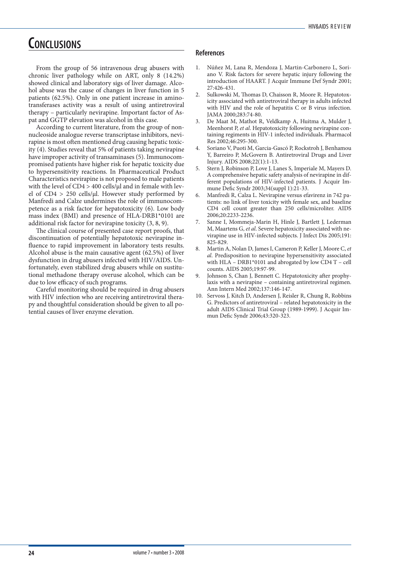# **Conclusions**

From the group of 56 intravenous drug abusers with chronic liver pathology while on ART, only 8 (14.2%) showed clinical and laboratory sigs of liver damage. Alcohol abuse was the cause of changes in liver function in 5 patients (62.5%). Only in one patient increase in aminotransferases activity was a result of using antiretroviral therapy – particularly nevirapine. Important factor of Aspat and GGTP elevation was alcohol in this case.

According to current literature, from the group of nonnucleoside analogue reverse transcriptase inhibitors, nevirapine is most often mentioned drug causing hepatic toxicity (4). Studies reveal that 5% of patients taking nevirapine have improper activity of transaminases (5). Immunocompromised patients have higher risk for hepatic toxicity due to hypersensitivity reactions. In Pharmaceutical Product Characteristics nevirapine is not proposed to male patients with the level of  $CD4 > 400$  cells/ $\mu$ l and in female with level of  $CD4 > 250$  cells/µl. However study performed by Manfredi and Calze undermines the role of immunocompetence as a risk factor for hepatotoxicity (6). Low body mass index (BMI) and presence of HLA-DRB1\*0101 are additional risk factor for nevirapine toxicity (3, 8, 9).

The clinical course of presented case report proofs, that discontinuation of potentially hepatotoxic nevirapine influence to rapid improvement in laboratory tests results. Alcohol abuse is the main causative agent (62.5%) of liver dysfunction in drug abusers infected with HIV/AIDS. Unfortunately, even stabilized drug abusers while on sustitutional methadone therapy overuse alcohol, which can be due to low efficacy of such programs.

Careful monitoring should be required in drug abusers with HIV infection who are receiving antiretroviral therapy and thoughtful consideration should be given to all potential causes of liver enzyme elevation.

#### **References**

- 1. Núñez M, Lana R, Mendoza J, Martin-Carbonero L, Soriano V. Risk factors for severe hepatic injury following the introduction of HAART. J Acquir Immune Def Syndr 2001; 27:426-431.
- 2. Sulkowski M, Thomas D, Chaisson R, Moore R. Hepatotoxicity associated with antiretroviral therapy in adults infected with HIV and the role of hepatitis C or B virus infection. JAMA 2000;283:74-80.
- 3. De Maat M, Mathot R, Veldkamp A, Huitma A, Mulder J, Meenhorst P, *et al*. Hepatotoxicity following nevirapine containing regiments in HIV-1 infected individuals. Pharmacol Res 2002;46:295-300.
- 4. Soriano V, Puoti M, Garcia-Gascó P, Rockstroh J, Benhamou Y, Barreiro P, McGovern B. Antiretroviral Drugs and Liver Injury. AIDS 2008;22(1):1-13.
- 5. Stern J, Robinson P, Love J, Lanes S, Imperiale M, Mayers D. A comprehensive hepatic safety analysis of nevirapine in different populations of HIV-infected patients. J Acquir Immune Defic Syndr 2003;34(suppl 1):21-33.
- 6. Manfredi R, Calza L. Nevirapine versus efavirenz in 742 patients: no link of liver toxicity with female sex, and baseline CD4 cell count greater than 250 cells/microliter. AIDS 2006;20:2233-2236.
- 7. Sanne I, Mommeja-Marin H, Hinle J, Bartlett J, Lederman M, Maartens G, *et al*. Severe hepatoxicity associated with nevirapine use in HIV-infected subjects. J Infect Dis 2005;191: 825-829.
- 8. Martin A, Nolan D, James I, Cameron P, Keller J, Moore C, *et al*. Predisposition to nevirapine hypersensitivity associated with HLA – DRB1\*0101 and abrogated by low CD4 T – cell counts. AIDS 2005;19:97-99.
- Johnson S, Chan J, Bennett C. Hepatotoxicity after prophylaxis with a nevirapine – containing antiretroviral regimen. Ann Intern Med 2002;137:146-147.
- 10. Servoss J, Kitch D, Andersen J, Reisler R, Chung R, Robbins G. Predictors of antiretroviral – related hepatotoxicity in the adult AIDS Clinical Trial Group (1989-1999). J Acquir Immun Defic Syndr 2006;43:320-323.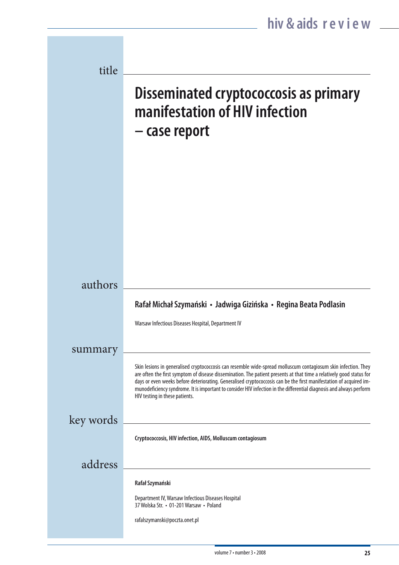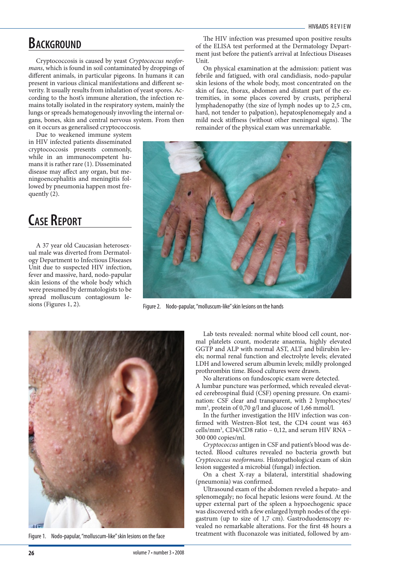### **BACKGROUND**

Cryptococcosis is caused by yeast *Cryptococcus neoformans*, which is found in soil contaminated by droppings of different animals, in particular pigeons. In humans it can present in various clinical manifestations and different severity. It usually results from inhalation of yeast spores. According to the host's immune alteration, the infection remains totally isolated in the respiratory system, mainly the lungs or spreads hematogenously invovling the internal organs, bones, skin and central nervous system. From then on it occurs as generalised cryptococcosis.

Due to weakened immune system in HIV infected patients disseminated cryptococcosis presents commonly, while in an immunocompetent humans it is rather rare (1). Disseminated disease may affect any organ, but meningoencephalitis and meningitis followed by pneumonia happen most frequently  $(2)$ .

# **Case Report**

A 37 year old Caucasian heterosexual male was diverted from Dermatology Department to Infectious Diseases Unit due to suspected HIV infection, fever and massive, hard, nodo-papular skin lesions of the whole body which were presumed by dermatologists to be spread molluscum contagiosum lesions (Figures 1, 2).

The HIV infection was presumed upon positive results of the ELISA test performed at the Dermatology Department just before the patient's arrival at Infectious Diseases Unit.

On physical examination at the admission: patient was febrile and fatigued, with oral candidiasis, nodo-papular skin lesions of the whole body, most concentrated on the skin of face, thorax, abdomen and distant part of the extremities, in some places covered by crusts, peripheral lymphadenopathy (the size of lymph nodes up to 2,5 cm, hard, not tender to palpation), hepatosplenomegaly and a mild neck stiffness (without other meningeal signs). The remainder of the physical exam was unremarkable.



Figure 2. Nodo-papular, "molluscum-like" skin lesions on the hands



Figure 1. Nodo-papular, "molluscum-like" skin lesions on the face

Lab tests revealed: normal white blood cell count, normal platelets count, moderate anaemia, highly elevated GGTP and ALP with normal AST, ALT and bilirubin levels; normal renal function and electrolyte levels; elevated LDH and lowered serum albumin levels; mildly prolonged prothrombin time. Blood cultures were drawn.

No alterations on fundoscopic exam were detected. A lumbar puncture was performed, which revealed elevated cerebrospinal fluid (CSF) opening pressure. On examination: CSF clear and transparent, with 2 lymphocytes/ mm<sup>3</sup>, protein of 0,70 g/l and glucose of 1,66 mmol/l.

In the further investigation the HIV infection was confirmed with Westren-Blot test, the CD4 count was 463 cells/mm3 , CD4/CD8 ratio – 0,12, and serum HIV RNA – 300 000 copies/ml.

*Cryptococcus* antigen in CSF and patient's blood was detected. Blood cultures revealed no bacteria growth but *Cryptococcus neoformans*. Histopathological exam of skin lesion suggested a microbial (fungal) infection.

On a chest X-ray a bilateral, interstitial shadowing (pneumonia) was confirmed.

Ultrasound exam of the abdomen reveled a hepato- and splenomegaly; no focal hepatic lesions were found. At the upper external part of the spleen a hypoechogenic space was discovered with a few enlarged lymph nodes of the epigastrum (up to size of 1,7 cm). Gastroduodenscopy revealed no remarkable alterations. For the first 48 hours a treatment with fluconazole was initiated, followed by am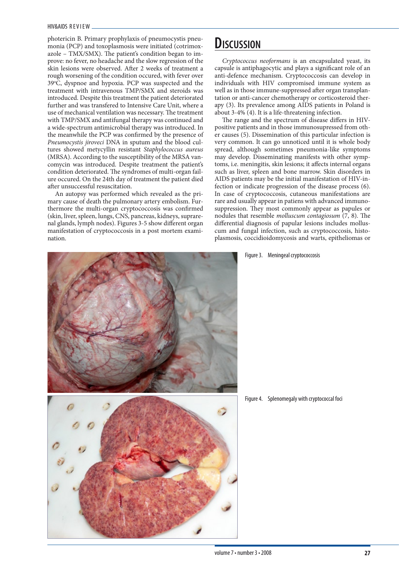photericin B. Primary prophylaxis of pneumocystis pneumonia (PCP) and toxoplasmosis were initiated (cotrimoxazole – TMX/SMX). The patient's condition began to improve: no fever, no headache and the slow regression of the skin lesions were observed. After 2 weeks of treatment a rough worsening of the condition occured, with fever over 39°C, dyspnoe and hypoxia. PCP was suspected and the treatment with intravenous TMP/SMX and steroids was introduced. Despite this treatment the patient deteriorated further and was transfered to Intensive Care Unit, where a use of mechanical ventilation was necessary. The treatment with TMP/SMX and antifungal therapy was continued and a wide-spectrum antimicrobial therapy was introduced. In the meanwhile the PCP was confirmed by the presence of *Pneumocystis jiroveci* DNA in sputum and the blood cultures showed metycyllin resistant *Staphylococcus aureus* (MRSA). According to the susceptibility of the MRSA vancomycin was introduced. Despite treatment the patient's condition deteriorated. The syndromes of multi-organ failure occured. On the 24th day of treatment the patient died after unsuccessful resuscitation.

An autopsy was performed which revealed as the primary cause of death the pulmonary artery embolism. Furthermore the multi-organ cryptococcosis was confirmed (skin, liver, spleen, lungs, CNS, pancreas, kidneys, suprarenal glands, lymph nodes). Figures 3-5 show different organ manifestation of cryptococcosis in a post mortem examination.

## **Discussion**

*Cryptococcus neoformans* is an encapsulated yeast, its capsule is antiphagocytic and plays a significant role of an anti-defence mechanism. Cryptococcosis can develop in individuals with HIV compromised immune system as well as in those immune-suppressed after organ transplantation or anti-cancer chemotherapy or corticosteroid therapy (3). Its prevalence among AIDS patients in Poland is about 3-4% (4). It is a life-threatening infection.

The range and the spectrum of disease differs in HIVpositive patients and in those immunosupressed from other causes (5). Dissemination of this particular infection is very common. It can go unnoticed until it is whole body spread, although sometimes pneumonia-like symptoms may develop. Disseminating manifests with other symptoms, i.e. meningitis, skin lesions; it affects internal organs such as liver, spleen and bone marrow. Skin disorders in AIDS patients may be the initial manifestation of HIV-infection or indicate progression of the disease process (6). In case of cryptococcosis, cutaneous manifestations are rare and usually appear in patiens with advanced immunosuppression. They most commonly appear as papules or nodules that resemble *molluscum contagiosum* (7, 8). The differential diagnosis of papular lesions includes molluscum and fungal infection, such as cryptococcosis, histoplasmosis, coccidioidomycosis and warts, epitheliomas or



Figure 3. Meningeal cryptococcosis

Figure 4. Splenomegaly with cryptococcal foci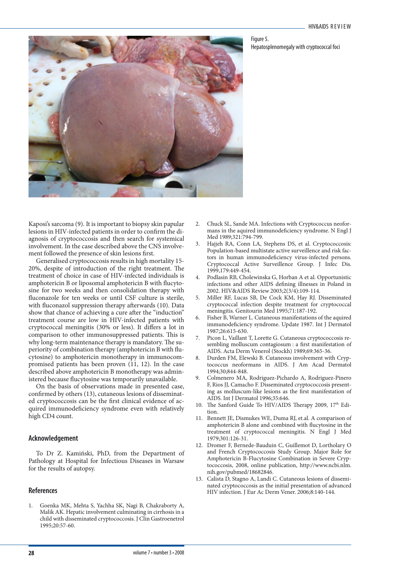Figure 5.

Hepatosplenomegaly with cryptococcal foci



Kaposi's sarcoma (9). It is important to biopsy skin papular lesions in HIV-infected patients in order to confirm the diagnosis of cryptococcosis and then search for systemical involvement. In the case described above the CNS involvement followed the presence of skin lesions first.

Generalised cryptococcosis results in high mortality 15- 20%, despite of introduction of the right treatment. The treatment of choice in case of HIV-infected individuals is amphotericin B or liposomal amphotericin B with flucytosine for two weeks and then consolidation therapy with fluconazole for ten weeks or until CSF culture is sterile, with fluconazol suppression therapy afterwards (10). Data show that chance of achieving a cure after the "induction" treatment course are low in HIV-infected patients with cryptococcal meningitis (30% or less). It differs a lot in comparison to other immunosuppressed patients. This is why long-term maintenance therapy is mandatory. The superiority of combination therapy (amphotericin B with flucytosine) to amphotericin monotherapy in immunocompromised patients has been proven  $(11, 12)$ . In the case described above amphotericin B monotherapy was administered because flucytosine was temporarily unavailable.

On the basis of observations made in presented case, confirmed by others (13), cutaneous lesions of disseminated cryptococcosis can be the first clinical evidence of acquired immunodeficiency syndrome even with relatively high CD4 count.

#### **Acknowledgement**

To Dr Z. Kamiński, PhD, from the Department of Pathology at Hospital for Infectious Diseases in Warsaw for the results of autopsy.

#### **References**

1. Goenka MK, Mehta S, Yachha SK, Nagi B, Chakraborty A, Malik AK. Hepatic involvement culminating in cirrhosis in a child with disseminated cryptococcosis. J Clin Gastroenetrol 1995;20:57-60.

- 2. Chuck SL, Sande MA. Infections with Cryptococcus neoformans in the aquired immunodeficiency syndrome. N Engl J Med 1989;321:794-799.
- Hajjeh RA, Conn LA, Stephens DS, et al. Cryptococcosis: Population-based multistate active surveillence and risk factors in human immunodeficiency virus-infected persons. Cryptococcal Active Surveillence Group. J Infec Dis. 1999,179:449-454.
- 4. Podlasin RB, Cholewinska G, Horban A et al. Opportunistic infections and other AIDS defining illnesses in Poland in 2002. HIV&AIDS Review 2003;2(3/4):109-114.
- 5. Miller RF, Lucas SB, De Cock KM, Hay RJ. Disseminated cryptococcal infection despite treatment for cryptococcal meningitis. Genitourin Med 1995;71:187-192.
- Fisher B, Warner L. Cutaneous manifestations of the aquired immunodeficiency syndrome. Update 1987. Int J Dermatol 1987;26:615-630.
- 7. Picon L, Vaillant T, Lorette G. Cutaneous cryptococcosis resembling molluscum contagiosum : a first manifestation of AIDS. Acta Derm Venerol (Stockh) 1989;69:365-36.
- 8. Durden FM, Elewski B. Cutaneous involvement with Cryptococcus neoformans in AIDS. J Am Acad Dermatol 1994;30;844-848.
- 9. Colmenero MA, Rodriguez-Pichardo A, Rodriguez-Pinero F, Rios JJ, Camacho F. Disseminated cryptococcosis presenting as molluscum-like lesions as the first manifestation of AIDS. Int J Dermatol 1996;35:646.
- 10. The Sanford Guide To HIV/AIDS Therapy 2009, 17<sup>th</sup> Edition.
- 11. Bennett JE, Dismukes WE, Duma RJ, et.al. A comparison of amphotericin B alone and combined with flucytosine in the treatment of cryptococcal meningitis. N Engl J Med 1979;301:126-31.
- 12. Dromer F, Bernede-Bauduin C, Guillemot D, Lortholary O and French Cryptococcosis Study Group. Major Role for Amphotericin B-Flucytosine Combination in Severe Cryptococcosis, 2008, online publication, http://www.ncbi.nlm. nih.gov/pubmed/18682846.
- 13. Calista D, Stagno A, Landi C. Cutaneous lesions of disseminated cryptococcosis as the initial presentation of advanced HIV infection. J Eur Ac Derm Vener. 2006;8:140-144.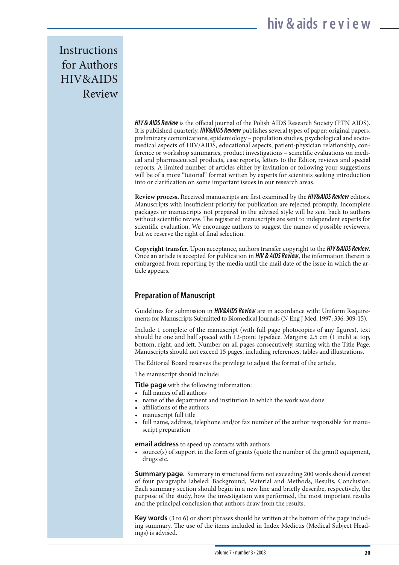**Instructions** for Authors HIV&AIDS Review

> *HIV & AIDS Review* is the official journal of the Polish AIDS Research Society (PTN AIDS). It is published quarterly. *HIV&AIDS Review* publishes several types of paper: original papers, preliminary comunications, epidemiology – population studies, psychological and sociomedical aspects of HIV/AIDS, educational aspects, patient-physician relationship, conference or workshop summaries, product investigations – scinetific evaluations on medical and pharmaceutical products, case reports, letters to the Editor, reviews and special reports. A limited number of articles either by invitation or following your suggestions will be of a more "tutorial" format written by experts for scientists seeking introduction into or clarification on some important issues in our research areas.

> **Review process.** Received manuscripts are first examined by the *HIV&AIDS Review* editors. Manuscripts with insufficient priority for publication are rejected promptly. Incomplete packages or manuscripts not prepared in the advised style will be sent back to authors without scientific review. The registered manuscripts are sent to independent experts for scientific evaluation. We encourage authors to suggest the names of possible reviewers, but we reserve the right of final selection.

> **Copyright transfer.** Upon acceptance, authors transfer copyright to the *HIV &AIDS Review*. Once an article is accepted for publication in *HIV & AIDS Review*, the information therein is embargoed from reporting by the media until the mail date of the issue in which the article appears.

### **Preparation of Manuscript**

Guidelines for submission in *HIV&AIDS Review* are in accordance with: Uniform Requirements for Manuscripts Submitted to Biomedical Journals (N Eng J Med, 1997; 336: 309-15).

Include 1 complete of the manuscript (with full page photocopies of any figures), text should be one and half spaced with 12-point typeface. Margins: 2.5 cm (1 inch) at top, bottom, right, and left. Number on all pages consecutively, starting with the Title Page. Manuscripts should not exceed 15 pages, including references, tables and illustrations.

The Editorial Board reserves the privilege to adjust the format of the article.

The manuscript should include:

**Title page** with the following information:

- full names of all authors
- name of the department and institution in which the work was done
- affiliations of the authors
- manuscript full title
- full name, address, telephone and/or fax number of the author responsible for manuscript preparation

**email address** to speed up contacts with authors

• source(s) of support in the form of grants (quote the number of the grant) equipment, drugs etc.

**Summary page.** Summary in structured form not exceeding 200 words should consist of four paragraphs labeled: Background, Material and Methods, Results, Conclusion. Each summary section should begin in a new line and briefly describe, respectively, the purpose of the study, how the investigation was performed, the most important results and the principal conclusion that authors draw from the results.

**Key words** (3 to 6) or short phrases should be written at the bottom of the page including summary. The use of the items included in Index Medicus (Medical Subject Headings) is advised.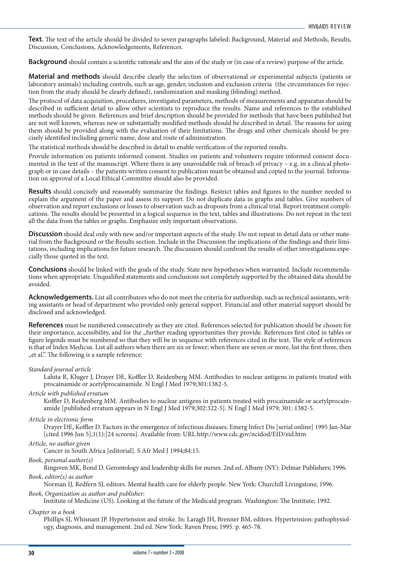**Text.** The text of the article should be divided to seven paragraphs labeled: Background, Material and Methods, Results, Discussion, Conclusions, Acknowledgements, References.

**Background** should contain a scientific rationale and the aim of the study or (in case of a review) purpose of the article.

**Material and methods** should describe clearly the selection of observational or experimental subjects (patients or laboratory animals) including controls, such as age, gender, inclusion and exclusion criteria (the circumstances for rejection from the study should be clearly defined), randomization and masking (blinding) method.

The protocol of data acquisition, procedures, investigated parameters, methods of measurements and apparatus should be described in sufficient detail to allow other scientists to reproduce the results. Name and references to the established methods should be given. References and brief description should be provided for methods that have been published but are not well known, whereas new or substantially modified methods should be described in detail. The reasons for using them should be provided along with the evaluation of their limitations. The drugs and other chemicals should be precisely identified including generic name, dose and route of administration.

The statistical methods should be described in detail to enable verification of the reported results.

Provide information on patients informed consent. Studies on patients and volunteers require informed consent documented in the text of the manuscript. Where there is any unavoidable risk of breach of privacy  $-$  e.g. in a clinical photograph or in case details – the patients written consent to publication must be obtained and copied to the journal. Information on approval of a Local Ethical Committee should also be provided.

**Results** should concisely and reasonably summarize the findings. Restrict tables and figures to the number needed to explain the argument of the paper and assess its support. Do not duplicate data in graphs and tables. Give numbers of observation and report exclusions or losses to observation such as dropouts from a clinical trial. Report treatment complications. The results should be presented in a logical sequence in the text, tables and illustrations. Do not repeat in the text all the data from the tables or graphs. Emphasize only important observations.

**Discussion** should deal only with new and/or important aspects of the study. Do not repeat in detail data or other material from the Background or the Results section. Include in the Discussion the implications of the findings and their limitations, including implications for future research. The discussion should confront the results of other investigations especially those quoted in the text.

**Conclusions** should be linked with the goals of the study. State new hypotheses when warranted. Include recommendations when appropriate. Unqualified statements and conclusions not completely supported by the obtained data should be avoided.

**Acknowledgements.** List all contributors who do not meet the criteria for authorship, such as technical assistants, writing assistants or head of department who provided only general support. Financial and other material support should be disclosed and acknowledged.

**References** must be numbered consecutively as they are cited. References selected for publication should be chosen for their importance, accessibility, and for the "further reading opportunities they provide. References first cited in tables or figure legends must be numbered so that they will be in sequence with references cited in the text. The style of references is that of Index Medicus. List all authors when there are six or fewer; when there are seven or more, list the first three, then "et al.". The following is a sample reference:

#### *Standard journal article*

Lahita R, Kluger J, Drayer DE, Koffler D, Reidenberg MM. Antibodies to nuclear antigens in patients treated with procainamide or acetylprocainamide. N Engl J Med 1979;301:1382-5.

*Article with published erratum*

Koffler D, Reidenberg MM. Antibodies to nuclear antigens in patients treated with procainamide or acetylprocainamide [published erratum appears in N Engl J Med 1979;302:322-5]. N Engl J Med 1979; 301: 1382-5.

#### *Article in electronic form*

Drayer DE, Koffler D. Factors in the emergence of infectious diseases. Emerg Infect Dis [serial online] 1995 Jan-Mar [cited 1996 Jun 5];1(1):[24 screens]. Available from: URL:http://www.cdc.gov/ncidod/EID/eid.htm

#### *Article, no author given*

Cancer in South Africa [editorial]. S Afr Med J 1994;84:15.

*Book, personal author(s)*

Ringsven MK, Bond D. Gerontology and leadership skills for nurses. 2nd ed. Albany (NY): Delmar Publishers; 1996. *Book, editor(s) as author*

Norman IJ, Redfern SJ, editors. Mental health care for elderly people. New York: Churchill Livingstone; 1996.

*Book, Organization as author and publisher:* 

Institute of Medicine (US). Looking at the future of the Medicaid program. Washington: The Institute; 1992.

#### *Chapter in a book*

Phillips SJ, Whisnant JP. Hypertension and stroke. In: Laragh JH, Brenner BM, editors. Hypertension: pathophysiology, diagnosis, and management. 2nd ed. New York: Raven Press; 1995. p. 465-78.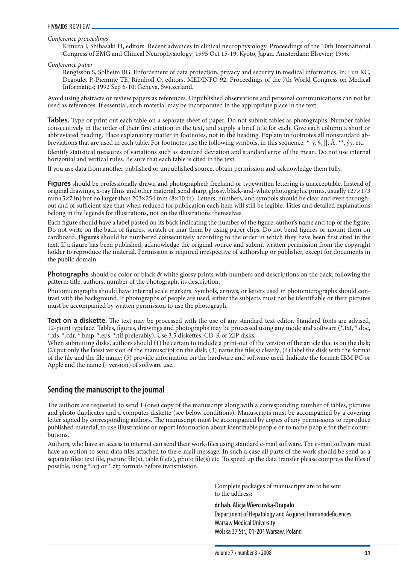#### *Conference proceedings*

Kimura J, Shibasaki H, editors. Recent advances in clinical neurophysiology. Proceedings of the 10th International Congress of EMG and Clinical Neurophysiology; 1995 Oct 15-19; Kyoto, Japan. Amsterdam: Elsevier; 1996.

*Conference paper*

Bengtsson S, Solheim BG. Enforcement of data protection, privacy and security in medical informatics. In: Lun KC, Degoulet P, Piemme TE, Rienhoff O, editors. MEDINFO 92. Proceedings of the 7th World Congress on Medical Informatics; 1992 Sep 6-10; Geneva, Switzerland.

Avoid using abstracts or review papers as references. Unpublished observations and personal communications can not be used as references. If essential, such material may be incorporated in the appropriate place in the text.

**Tables.** Type or print out each table on a separate sheet of paper. Do not submit tables as photographs. Number tables consecutively in the order of their first citation in the text, and supply a brief title for each. Give each column a short or abbreviated heading. Place explanatory matter in footnotes, not in the heading. Explain in footnotes all nonstandard abbreviations that are used in each table. For footnotes use the following symbols, in this sequence: \*, ý, §, ||, Â, \*\*, ýý, etc. Identify statistical measures of variations such as standard deviation and standard error of the mean. Do not use internal horizontal and vertical rules. Be sure that each table is cited in the text.

If you use data from another published or unpublished source, obtain permission and acknowledge them fully.

**Figures** should be professionally drawn and photographed; freehand or typewritten lettering is unacceptable. Instead of original drawings, x-ray films and other material, send sharp, glossy, black-and-white photographic prints, usually 127×173 mm (5×7 in) but no larger than 203×254 mm (8×10 in). Letters, numbers, and symbols should be clear and even throughout and of sufficient size that when reduced for publication each item will still be legible. Titles and detailed explanations belong in the legends for illustrations, not on the illustrations themselves.

Each figure should have a label pasted on its back indicating the number of the figure, author's name and top of the figure. Do not write on the back of figures, scratch or mar them by using paper clips. Do not bend figures or mount them on cardboard. **Figures** should be numbered consecutively according to the order in which they have been first cited in the text. If a figure has been published, acknowledge the original source and submit written permission from the copyright holder to reproduce the material. Permission is required irrespective of authorship or publisher, except for documents in the public domain.

**Photographs** should be color or black & white glossy prints with numbers and descriptions on the back, following the pattern: title, authors, number of the photograph, its description.

Photomicrographs should have internal scale markers. Symbols, arrows, or letters used in photomicrographs should contrast with the background. If photographs of people are used, either the subjects must not be identifiable or their pictures must be accompanied by written permission to use the photograph.

**Text on a diskette.** The text may be processed with the use of any standard text editor. Standard fonts are advised, 12-point typeface. Tables, figures, drawings and photographs may be processed using any mode and software (\*.txt, \*.doc, \*.xls, \*.cdr, \*.bmp, \*.eps, \*.tif preferably). Use 3.5 diskettes, CD-R or ZIP disks.

When submitting disks, authors should (1) be certain to include a print-out of the version of the article that is on the disk; (2) put only the latest version of the manuscript on the disk; (3) name the file(s) clearly; (4) label the disk with the format of the file and the file name; (5) provide information on the hardware and software used. Indicate the format: IBM PC or Apple and the name (+version) of software use.

#### **Sending the manuscript to the journal**

The authors are requested to send 1 (one) copy of the manuscript along with a corresponding number of tables, pictures and photo duplicates and a computer diskette (see below conditions). Manuscripts must be accompanied by a covering letter signed by corresponding authors. The manuscript must be accompanied by copies of any permissions to reproduce published material, to use illustrations or report information about identifiable people or to name people for their contributions.

Authors, who have an access to internet can send their work-files using standard e-mail software. The e-mail software must have an option to send data files attached to the e-mail message. In such a case all parts of the work should be send as a separate files: text file, picture file(s), table file(s), photo file(s) etc. To speed up the data transfer please compress the files if possible, using \*.arj or \*.zip formats before transmission.

> Complete packages of manuscripts are to be sent to the address:

**dr hab. Alicja Wiercinska-Drapalo** Department of Hepatology and Acquired Immunodeficiences Warsaw Medical University Wolska 37 Str., 01-201 Warsaw, Poland